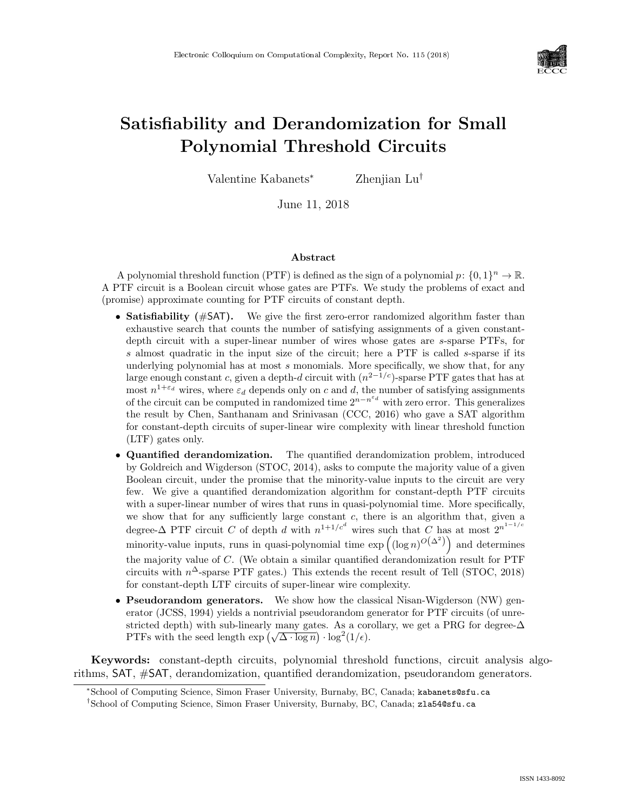

# Satisfiability and Derandomization for Small Polynomial Threshold Circuits

Valentine Kabanets<sup>∗</sup> Zhenjian Lu†

June 11, 2018

#### Abstract

A polynomial threshold function (PTF) is defined as the sign of a polynomial  $p: \{0,1\}^n \to \mathbb{R}$ . A PTF circuit is a Boolean circuit whose gates are PTFs. We study the problems of exact and (promise) approximate counting for PTF circuits of constant depth.

- Satisfiability (#SAT). We give the first zero-error randomized algorithm faster than exhaustive search that counts the number of satisfying assignments of a given constantdepth circuit with a super-linear number of wires whose gates are s-sparse PTFs, for s almost quadratic in the input size of the circuit; here a PTF is called s-sparse if its underlying polynomial has at most  $s$  monomials. More specifically, we show that, for any large enough constant c, given a depth-d circuit with  $(n^{2-1/c})$ -sparse PTF gates that has at most  $n^{1+\epsilon_d}$  wires, where  $\epsilon_d$  depends only on c and d, the number of satisfying assignments of the circuit can be computed in randomized time  $2^{n-n^{\epsilon_d}}$  with zero error. This generalizes the result by Chen, Santhanam and Srinivasan (CCC, 2016) who gave a SAT algorithm for constant-depth circuits of super-linear wire complexity with linear threshold function (LTF) gates only.
- Quantified derandomization. The quantified derandomization problem, introduced by Goldreich and Wigderson (STOC, 2014), asks to compute the majority value of a given Boolean circuit, under the promise that the minority-value inputs to the circuit are very few. We give a quantified derandomization algorithm for constant-depth PTF circuits with a super-linear number of wires that runs in quasi-polynomial time. More specifically, we show that for any sufficiently large constant  $c$ , there is an algorithm that, given a degree- $\Delta$  PTF circuit C of depth d with  $n^{1+1/c^d}$  wires such that C has at most  $2^{n^{1-1/c}}$ minority-value inputs, runs in quasi-polynomial time  $\exp((\log n)^{O(\Delta^2)})$  and determines the majority value of  $C$ . (We obtain a similar quantified derandomization result for PTF circuits with  $n^{\Delta}$ -sparse PTF gates.) This extends the recent result of Tell (STOC, 2018) for constant-depth LTF circuits of super-linear wire complexity.
- Pseudorandom generators. We show how the classical Nisan-Wigderson (NW) generator (JCSS, 1994) yields a nontrivial pseudorandom generator for PTF circuits (of unrestricted depth) with sub-linearly many gates. As a corollary, we get a PRG for degree- $\Delta$ stricted depth) with sub-linearly many gates. As a con-<br>PTFs with the seed length  $\exp (\sqrt{\Delta \cdot \log n}) \cdot \log^2(1/\epsilon)$ .

Keywords: constant-depth circuits, polynomial threshold functions, circuit analysis algorithms, SAT, #SAT, derandomization, quantified derandomization, pseudorandom generators.

<sup>∗</sup>School of Computing Science, Simon Fraser University, Burnaby, BC, Canada; kabanets@sfu.ca

<sup>†</sup>School of Computing Science, Simon Fraser University, Burnaby, BC, Canada; zla54@sfu.ca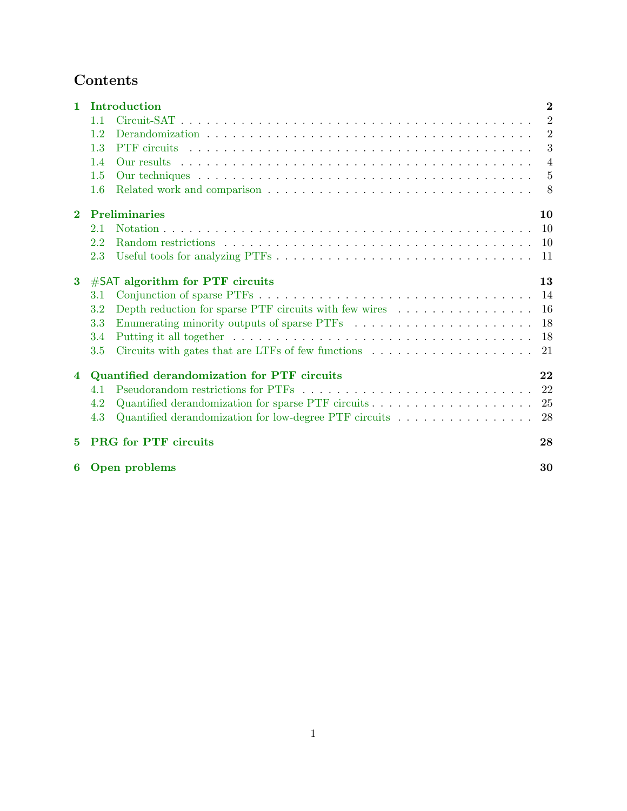## Contents

| $\mathbf{1}$   | Introduction                                |                                                                                          |                |
|----------------|---------------------------------------------|------------------------------------------------------------------------------------------|----------------|
|                | 1.1                                         |                                                                                          | $\overline{2}$ |
|                | 1.2                                         |                                                                                          | $\overline{2}$ |
|                | 1.3                                         |                                                                                          | 3              |
|                | 1.4                                         |                                                                                          | $\overline{4}$ |
|                | 1.5                                         |                                                                                          | $\frac{5}{2}$  |
|                | 1.6                                         |                                                                                          | 8              |
| $\mathbf{2}$   | <b>Preliminaries</b><br>10                  |                                                                                          |                |
|                | 2.1                                         |                                                                                          | 10             |
|                | 2.2                                         |                                                                                          | -10            |
|                | 2.3                                         |                                                                                          | -11            |
| $\bf{3}$       | $#SAT$ algorithm for PTF circuits           |                                                                                          |                |
|                | 3.1                                         |                                                                                          | 14             |
|                | $3.2\,$                                     | Depth reduction for sparse PTF circuits with few wires $\dots \dots \dots \dots \dots$   | 16             |
|                | 3.3                                         |                                                                                          | 18             |
|                | 3.4                                         |                                                                                          | 18             |
|                | 3.5                                         |                                                                                          | 21             |
| $\overline{4}$ | Quantified derandomization for PTF circuits |                                                                                          |                |
|                | 4.1                                         |                                                                                          | 22             |
|                | 4.2                                         | Quantified derandomization for sparse PTF circuits $\dots \dots \dots \dots \dots \dots$ | 25             |
|                | 4.3                                         | Quantified derandomization for low-degree PTF circuits                                   | 28             |
| 5              | <b>PRG</b> for PTF circuits                 |                                                                                          | 28             |
| 6              |                                             | Open problems                                                                            | 30             |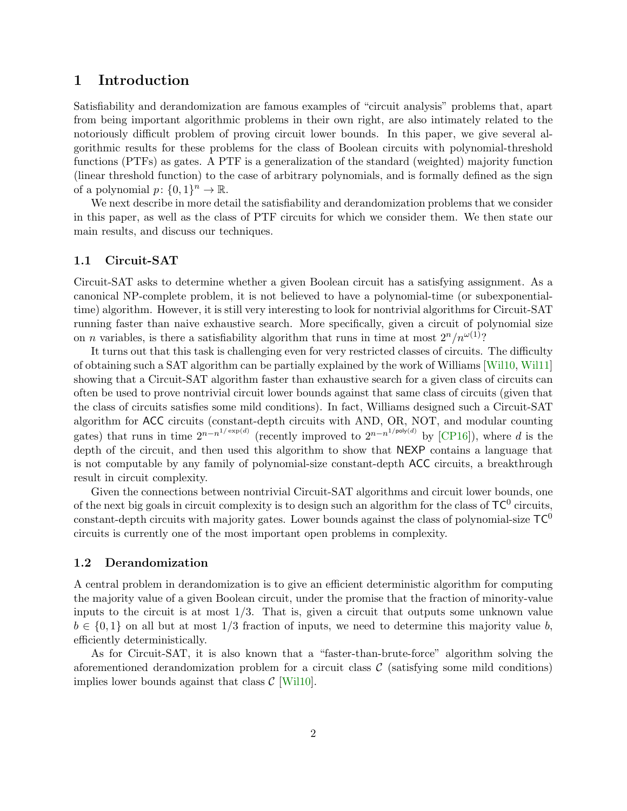## <span id="page-2-3"></span><span id="page-2-0"></span>1 Introduction

Satisfiability and derandomization are famous examples of "circuit analysis" problems that, apart from being important algorithmic problems in their own right, are also intimately related to the notoriously difficult problem of proving circuit lower bounds. In this paper, we give several algorithmic results for these problems for the class of Boolean circuits with polynomial-threshold functions (PTFs) as gates. A PTF is a generalization of the standard (weighted) majority function (linear threshold function) to the case of arbitrary polynomials, and is formally defined as the sign of a polynomial  $p: \{0,1\}^n \to \mathbb{R}$ .

We next describe in more detail the satisfiability and derandomization problems that we consider in this paper, as well as the class of PTF circuits for which we consider them. We then state our main results, and discuss our techniques.

#### <span id="page-2-1"></span>1.1 Circuit-SAT

Circuit-SAT asks to determine whether a given Boolean circuit has a satisfying assignment. As a canonical NP-complete problem, it is not believed to have a polynomial-time (or subexponentialtime) algorithm. However, it is still very interesting to look for nontrivial algorithms for Circuit-SAT running faster than naive exhaustive search. More specifically, given a circuit of polynomial size on *n* variables, is there a satisfiability algorithm that runs in time at most  $2^{n}/n^{\omega(1)}$ ?

It turns out that this task is challenging even for very restricted classes of circuits. The difficulty of obtaining such a SAT algorithm can be partially explained by the work of Williams [\[Wil10,](#page--1-0) [Wil11\]](#page--1-1) showing that a Circuit-SAT algorithm faster than exhaustive search for a given class of circuits can often be used to prove nontrivial circuit lower bounds against that same class of circuits (given that the class of circuits satisfies some mild conditions). In fact, Williams designed such a Circuit-SAT algorithm for ACC circuits (constant-depth circuits with AND, OR, NOT, and modular counting gates) that runs in time  $2^{n-n^{1/\exp(d)}}$  (recently improved to  $2^{n-n^{1/\text{poly}(d)}}$  by [\[CP16\]](#page-31-0)), where d is the depth of the circuit, and then used this algorithm to show that NEXP contains a language that is not computable by any family of polynomial-size constant-depth ACC circuits, a breakthrough result in circuit complexity.

Given the connections between nontrivial Circuit-SAT algorithms and circuit lower bounds, one of the next big goals in circuit complexity is to design such an algorithm for the class of  $TC^0$  circuits, constant-depth circuits with majority gates. Lower bounds against the class of polynomial-size  $TC^0$ circuits is currently one of the most important open problems in complexity.

#### <span id="page-2-2"></span>1.2 Derandomization

A central problem in derandomization is to give an efficient deterministic algorithm for computing the majority value of a given Boolean circuit, under the promise that the fraction of minority-value inputs to the circuit is at most  $1/3$ . That is, given a circuit that outputs some unknown value  $b \in \{0,1\}$  on all but at most  $1/3$  fraction of inputs, we need to determine this majority value b, efficiently deterministically.

As for Circuit-SAT, it is also known that a "faster-than-brute-force" algorithm solving the aforementioned derandomization problem for a circuit class  $\mathcal C$  (satisfying some mild conditions) implies lower bounds against that class  $\mathcal{C}$  [\[Wil10\]](#page--1-0).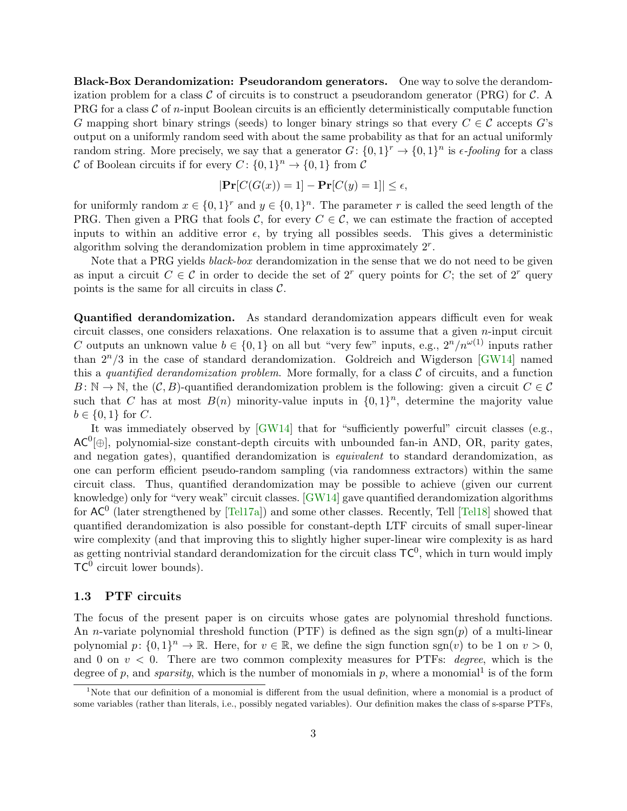<span id="page-3-1"></span>Black-Box Derandomization: Pseudorandom generators. One way to solve the derandomization problem for a class  $\mathcal C$  of circuits is to construct a pseudorandom generator (PRG) for  $\mathcal C$ . A PRG for a class  $\mathcal C$  of *n*-input Boolean circuits is an efficiently deterministically computable function G mapping short binary strings (seeds) to longer binary strings so that every  $C \in \mathcal{C}$  accepts G's output on a uniformly random seed with about the same probability as that for an actual uniformly random string. More precisely, we say that a generator  $G: \{0,1\}^r \to \{0,1\}^n$  is  $\epsilon$ -fooling for a class C of Boolean circuits if for every  $C: \{0,1\}^n \to \{0,1\}$  from C

$$
|\mathbf{Pr}[C(G(x)) = 1] - \mathbf{Pr}[C(y) = 1]| \le \epsilon,
$$

for uniformly random  $x \in \{0,1\}^r$  and  $y \in \{0,1\}^n$ . The parameter r is called the seed length of the PRG. Then given a PRG that fools C, for every  $C \in \mathcal{C}$ , we can estimate the fraction of accepted inputs to within an additive error  $\epsilon$ , by trying all possibles seeds. This gives a deterministic algorithm solving the derandomization problem in time approximately 2<sup>r</sup> .

Note that a PRG yields *black-box* derandomization in the sense that we do not need to be given as input a circuit  $C \in \mathcal{C}$  in order to decide the set of  $2^r$  query points for C; the set of  $2^r$  query points is the same for all circuits in class  $\mathcal{C}$ .

Quantified derandomization. As standard derandomization appears difficult even for weak circuit classes, one considers relaxations. One relaxation is to assume that a given  $n$ -input circuit C outputs an unknown value  $b \in \{0,1\}$  on all but "very few" inputs, e.g.,  $2^n/n^{\omega(1)}$  inputs rather than  $2^{n}/3$  in the case of standard derandomization. Goldreich and Wigderson [\[GW14\]](#page-31-1) named this a quantified derandomization problem. More formally, for a class  $C$  of circuits, and a function  $B: \mathbb{N} \to \mathbb{N}$ , the  $(C, B)$ -quantified derandomization problem is the following: given a circuit  $C \in \mathcal{C}$ such that C has at most  $B(n)$  minority-value inputs in  $\{0,1\}^n$ , determine the majority value  $b \in \{0, 1\}$  for C.

It was immediately observed by [\[GW14\]](#page-31-1) that for "sufficiently powerful" circuit classes (e.g.,  $AC^{0}[\oplus]$ , polynomial-size constant-depth circuits with unbounded fan-in AND, OR, parity gates, and negation gates), quantified derandomization is equivalent to standard derandomization, as one can perform efficient pseudo-random sampling (via randomness extractors) within the same circuit class. Thus, quantified derandomization may be possible to achieve (given our current knowledge) only for "very weak" circuit classes. [\[GW14\]](#page-31-1) gave quantified derandomization algorithms for  $AC^0$  (later strengthened by [\[Tel17a\]](#page--1-2)) and some other classes. Recently, Tell [\[Tel18\]](#page--1-3) showed that quantified derandomization is also possible for constant-depth LTF circuits of small super-linear wire complexity (and that improving this to slightly higher super-linear wire complexity is as hard as getting nontrivial standard derandomization for the circuit class  $TC^0$ , which in turn would imply  $TC^0$  circuit lower bounds).

#### <span id="page-3-0"></span>1.3 PTF circuits

The focus of the present paper is on circuits whose gates are polynomial threshold functions. An *n*-variate polynomial threshold function (PTF) is defined as the sign  $sgn(p)$  of a multi-linear polynomial  $p: \{0,1\}^n \to \mathbb{R}$ . Here, for  $v \in \mathbb{R}$ , we define the sign function sgn(v) to be 1 on  $v > 0$ , and 0 on  $v < 0$ . There are two common complexity measures for PTFs: *degree*, which is the degree of p, and *sparsity*, which is the number of monomials in p, where a monomial<sup>1</sup> is of the form

<sup>&</sup>lt;sup>1</sup>Note that our definition of a monomial is different from the usual definition, where a monomial is a product of some variables (rather than literals, i.e., possibly negated variables). Our definition makes the class of s-sparse PTFs,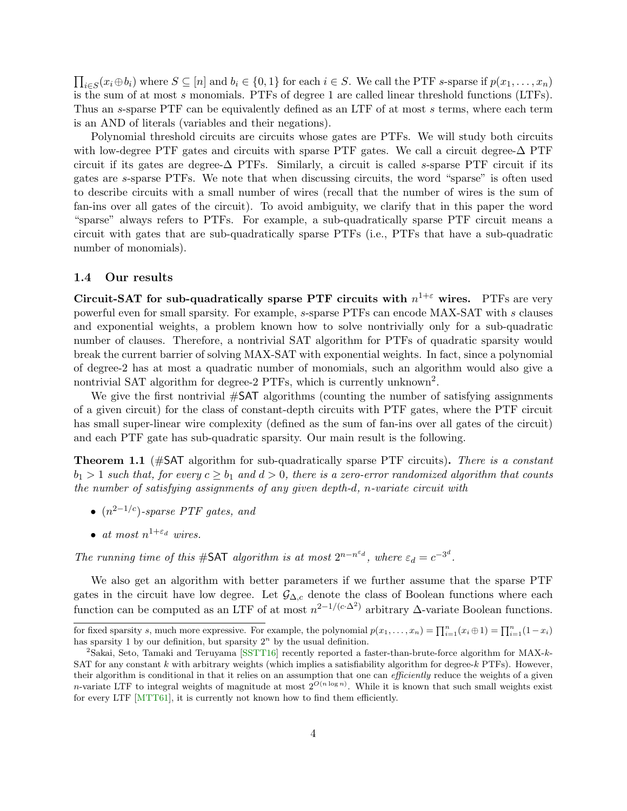<span id="page-4-3"></span> $\prod_{i\in S}(x_i\oplus b_i)$  where  $S\subseteq [n]$  and  $b_i\in \{0,1\}$  for each  $i\in S$ . We call the PTF s-sparse if  $p(x_1,\ldots,x_n)$ is the sum of at most s monomials. PTFs of degree 1 are called linear threshold functions (LTFs). Thus an s-sparse PTF can be equivalently defined as an LTF of at most s terms, where each term is an AND of literals (variables and their negations).

Polynomial threshold circuits are circuits whose gates are PTFs. We will study both circuits with low-degree PTF gates and circuits with sparse PTF gates. We call a circuit degree- $\Delta$  PTF circuit if its gates are degree- $\Delta$  PTFs. Similarly, a circuit is called s-sparse PTF circuit if its gates are s-sparse PTFs. We note that when discussing circuits, the word "sparse" is often used to describe circuits with a small number of wires (recall that the number of wires is the sum of fan-ins over all gates of the circuit). To avoid ambiguity, we clarify that in this paper the word "sparse" always refers to PTFs. For example, a sub-quadratically sparse PTF circuit means a circuit with gates that are sub-quadratically sparse PTFs (i.e., PTFs that have a sub-quadratic number of monomials).

#### <span id="page-4-0"></span>1.4 Our results

Circuit-SAT for sub-quadratically sparse PTF circuits with  $n^{1+\epsilon}$  wires. PTFs are very powerful even for small sparsity. For example, s-sparse PTFs can encode MAX-SAT with s clauses and exponential weights, a problem known how to solve nontrivially only for a sub-quadratic number of clauses. Therefore, a nontrivial SAT algorithm for PTFs of quadratic sparsity would break the current barrier of solving MAX-SAT with exponential weights. In fact, since a polynomial of degree-2 has at most a quadratic number of monomials, such an algorithm would also give a nontrivial SAT algorithm for degree-2 PTFs, which is currently unknown<sup>2</sup>.

We give the first nontrivial  $\#\textsf{SAT}$  algorithms (counting the number of satisfying assignments of a given circuit) for the class of constant-depth circuits with PTF gates, where the PTF circuit has small super-linear wire complexity (defined as the sum of fan-ins over all gates of the circuit) and each PTF gate has sub-quadratic sparsity. Our main result is the following.

<span id="page-4-2"></span>**Theorem 1.1** ( $\#SAT$  algorithm for sub-quadratically sparse PTF circuits). There is a constant  $b_1 > 1$  such that, for every  $c \geq b_1$  and  $d > 0$ , there is a zero-error randomized algorithm that counts the number of satisfying assignments of any given depth-d, n-variate circuit with

- $(n^{2-1/c})$ -sparse PTF gates, and
- at most  $n^{1+\varepsilon_d}$  wires.

The running time of this #SAT algorithm is at most  $2^{n-n^{\varepsilon_d}}$ , where  $\varepsilon_d = c^{-3^d}$ .

We also get an algorithm with better parameters if we further assume that the sparse PTF gates in the circuit have low degree. Let  $\mathcal{G}_{\Delta,c}$  denote the class of Boolean functions where each function can be computed as an LTF of at most  $n^{2-1/(c \cdot \Delta^2)}$  arbitrary  $\Delta$ -variate Boolean functions.

<span id="page-4-1"></span>for fixed sparsity s, much more expressive. For example, the polynomial  $p(x_1, \ldots, x_n) = \prod_{i=1}^n (x_i \oplus 1) = \prod_{i=1}^n (1-x_i)$ has sparsity 1 by our definition, but sparsity  $2<sup>n</sup>$  by the usual definition.

<sup>&</sup>lt;sup>2</sup>Sakai, Seto, Tamaki and Teruyama [\[SSTT16\]](#page--1-4) recently reported a faster-than-brute-force algorithm for MAX-k-SAT for any constant  $k$  with arbitrary weights (which implies a satisfiability algorithm for degree- $k$  PTFs). However, their algorithm is conditional in that it relies on an assumption that one can *efficiently* reduce the weights of a given *n*-variate LTF to integral weights of magnitude at most  $2^{O(n \log n)}$ . While it is known that such small weights exist for every LTF [\[MTT61\]](#page-31-2), it is currently not known how to find them efficiently.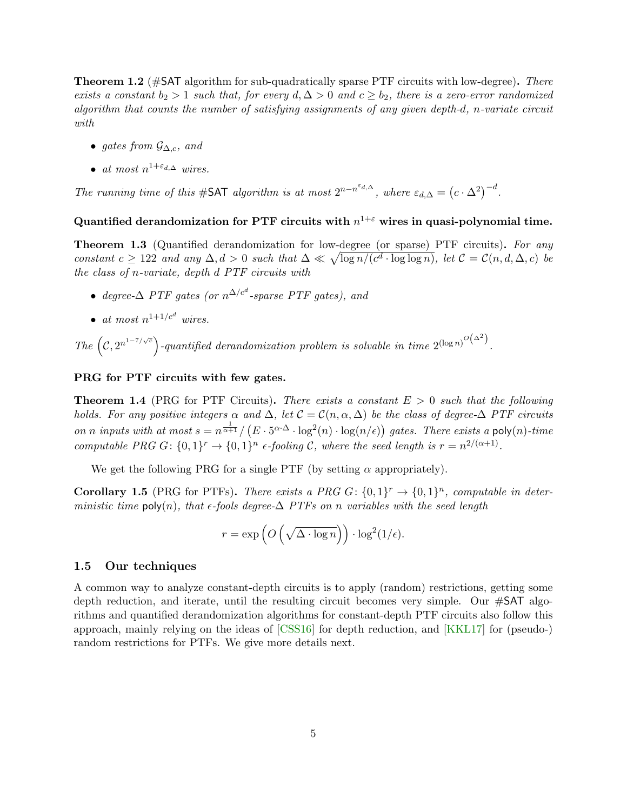<span id="page-5-4"></span>**Theorem 1.2** (#SAT algorithm for sub-quadratically sparse PTF circuits with low-degree). There exists a constant  $b_2 > 1$  such that, for every  $d, \Delta > 0$  and  $c \geq b_2$ , there is a zero-error randomized algorithm that counts the number of satisfying assignments of any given depth-d, n-variate circuit with

- gates from  $\mathcal{G}_{\Delta,c}$ , and
- at most  $n^{1+\varepsilon_{d,\Delta}}$  wires.

The running time of this #SAT algorithm is at most  $2^{n-n^{\epsilon_{d,\Delta}}},$  where  $\varepsilon_{d,\Delta} = (c \cdot \Delta^2)^{-d}$ .

### <span id="page-5-2"></span>Quantified derandomization for PTF circuits with  $n^{1+\varepsilon}$  wires in quasi-polynomial time.

**Theorem 1.3** (Quantified derandomization for low-degree (or sparse) PTF circuits). For any constant  $c \geq 122$  and any  $\Delta, d > 0$  such that  $\Delta \ll \sqrt{\log n/(c^d \cdot \log \log n)}$ , let  $\mathcal{C} = \mathcal{C}(n, d, \Delta, c)$  be the class of n-variate, depth d PTF circuits with

- degree- $\Delta$  PTF gates (or  $n^{\Delta/c^d}$ -sparse PTF gates), and
- at most  $n^{1+1/c^d}$  wires.

The  $(c, 2^{n^{1-7/\sqrt{c}}})$ -quantified derandomization problem is solvable in time  $2^{(\log n)^{O(\Delta^2)}}$ .

#### <span id="page-5-3"></span>PRG for PTF circuits with few gates.

**Theorem 1.4** (PRG for PTF Circuits). There exists a constant  $E > 0$  such that the following holds. For any positive integers  $\alpha$  and  $\Delta$ , let  $\mathcal{C} = \mathcal{C}(n, \alpha, \Delta)$  be the class of degree- $\Delta$  PTF circuits on n inputs with at most  $s = n^{\frac{1}{\alpha+1}} / (E \cdot 5^{\alpha \cdot \Delta} \cdot \log^2(n) \cdot \log(n/\epsilon))$  gates. There exists a poly $(n)$ -time computable PRG  $G: \{0,1\}^r \to \{0,1\}^n$  e-fooling C, where the seed length is  $r = n^{2/(\alpha+1)}$ .

We get the following PRG for a single PTF (by setting  $\alpha$  appropriately).

<span id="page-5-1"></span>**Corollary 1.5** (PRG for PTFs). There exists a PRG G:  $\{0,1\}^r \rightarrow \{0,1\}^n$ , computable in deterministic time poly(n), that  $\epsilon$ -fools degree- $\Delta$  PTFs on n variables with the seed length

$$
r = \exp\left(O\left(\sqrt{\Delta \cdot \log n}\right)\right) \cdot \log^2(1/\epsilon).
$$

#### <span id="page-5-0"></span>1.5 Our techniques

A common way to analyze constant-depth circuits is to apply (random) restrictions, getting some depth reduction, and iterate, until the resulting circuit becomes very simple. Our  $\#\text{SAT}$  algorithms and quantified derandomization algorithms for constant-depth PTF circuits also follow this approach, mainly relying on the ideas of [\[CSS16\]](#page-31-3) for depth reduction, and [\[KKL17\]](#page-31-4) for (pseudo-) random restrictions for PTFs. We give more details next.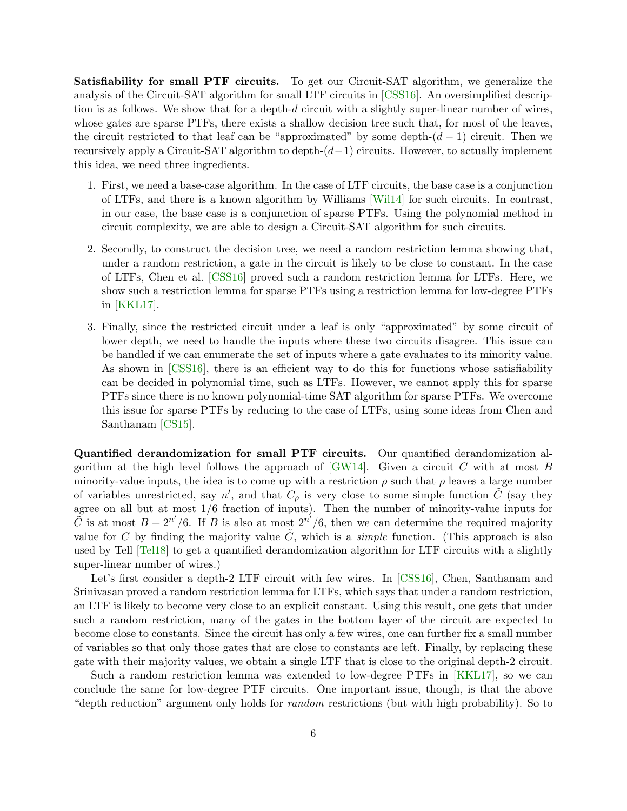<span id="page-6-0"></span>**Satisfiability for small PTF circuits.** To get our Circuit-SAT algorithm, we generalize the analysis of the Circuit-SAT algorithm for small LTF circuits in [\[CSS16\]](#page-31-3). An oversimplified description is as follows. We show that for a depth-d circuit with a slightly super-linear number of wires, whose gates are sparse PTFs, there exists a shallow decision tree such that, for most of the leaves, the circuit restricted to that leaf can be "approximated" by some depth- $(d-1)$  circuit. Then we recursively apply a Circuit-SAT algorithm to depth- $(d-1)$  circuits. However, to actually implement this idea, we need three ingredients.

- 1. First, we need a base-case algorithm. In the case of LTF circuits, the base case is a conjunction of LTFs, and there is a known algorithm by Williams [\[Wil14\]](#page--1-5) for such circuits. In contrast, in our case, the base case is a conjunction of sparse PTFs. Using the polynomial method in circuit complexity, we are able to design a Circuit-SAT algorithm for such circuits.
- 2. Secondly, to construct the decision tree, we need a random restriction lemma showing that, under a random restriction, a gate in the circuit is likely to be close to constant. In the case of LTFs, Chen et al. [\[CSS16\]](#page-31-3) proved such a random restriction lemma for LTFs. Here, we show such a restriction lemma for sparse PTFs using a restriction lemma for low-degree PTFs in [\[KKL17\]](#page-31-4).
- 3. Finally, since the restricted circuit under a leaf is only "approximated" by some circuit of lower depth, we need to handle the inputs where these two circuits disagree. This issue can be handled if we can enumerate the set of inputs where a gate evaluates to its minority value. As shown in [\[CSS16\]](#page-31-3), there is an efficient way to do this for functions whose satisfiability can be decided in polynomial time, such as LTFs. However, we cannot apply this for sparse PTFs since there is no known polynomial-time SAT algorithm for sparse PTFs. We overcome this issue for sparse PTFs by reducing to the case of LTFs, using some ideas from Chen and Santhanam [\[CS15\]](#page-31-5).

Quantified derandomization for small PTF circuits. Our quantified derandomization algorithm at the high level follows the approach of  $\lbrack GW14 \rbrack$ . Given a circuit C with at most B minority-value inputs, the idea is to come up with a restriction  $\rho$  such that  $\rho$  leaves a large number of variables unrestricted, say n', and that  $C_{\rho}$  is very close to some simple function  $\tilde{C}$  (say they agree on all but at most 1/6 fraction of inputs). Then the number of minority-value inputs for  $\tilde{C}$  is at most  $B + 2^{n'}/6$ . If B is also at most  $2^{n'}/6$ , then we can determine the required majority value for C by finding the majority value  $\tilde{C}$ , which is a *simple* function. (This approach is also used by Tell [\[Tel18\]](#page--1-3) to get a quantified derandomization algorithm for LTF circuits with a slightly super-linear number of wires.)

Let's first consider a depth-2 LTF circuit with few wires. In [\[CSS16\]](#page-31-3), Chen, Santhanam and Srinivasan proved a random restriction lemma for LTFs, which says that under a random restriction, an LTF is likely to become very close to an explicit constant. Using this result, one gets that under such a random restriction, many of the gates in the bottom layer of the circuit are expected to become close to constants. Since the circuit has only a few wires, one can further fix a small number of variables so that only those gates that are close to constants are left. Finally, by replacing these gate with their majority values, we obtain a single LTF that is close to the original depth-2 circuit.

Such a random restriction lemma was extended to low-degree PTFs in [\[KKL17\]](#page-31-4), so we can conclude the same for low-degree PTF circuits. One important issue, though, is that the above "depth reduction" argument only holds for random restrictions (but with high probability). So to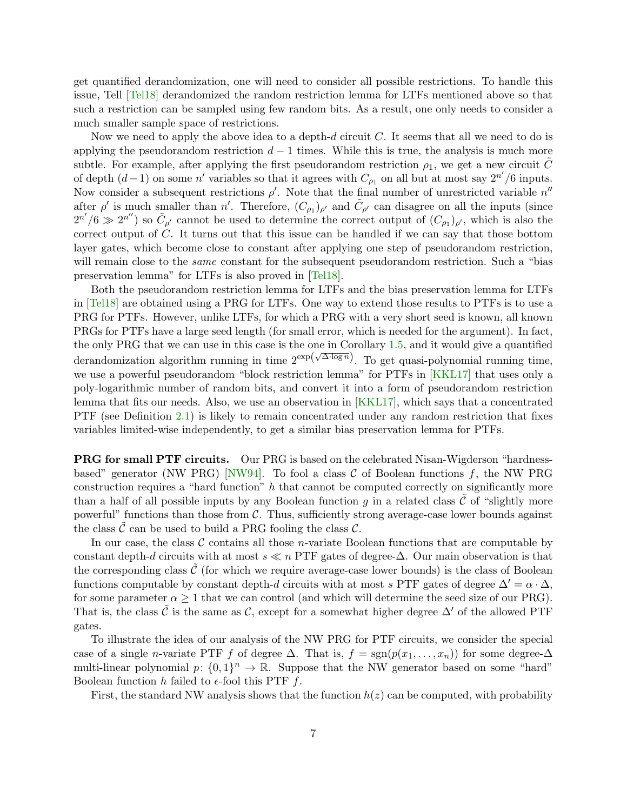<span id="page-7-0"></span>get quantified derandomization, one will need to consider all possible restrictions. To handle this issue, Tell [\[Tel18\]](#page--1-3) derandomized the random restriction lemma for LTFs mentioned above so that such a restriction can be sampled using few random bits. As a result, one only needs to consider a much smaller sample space of restrictions.

Now we need to apply the above idea to a depth-d circuit C. It seems that all we need to do is applying the pseudorandom restriction  $d-1$  times. While this is true, the analysis is much more subtle. For example, after applying the first pseudorandom restriction  $\rho_1$ , we get a new circuit C of depth  $(d-1)$  on some n' variables so that it agrees with  $C_{\rho_1}$  on all but at most say  $2^{n'}/6$  inputs. Now consider a subsequent restrictions  $\rho'$ . Note that the final number of unrestricted variable  $n''$ after  $\rho'$  is much smaller than n'. Therefore,  $(C_{\rho_1})_{\rho'}$  and  $\tilde{C}_{\rho'}$  can disagree on all the inputs (since  $2^{n'}/6 \gg 2^{n''}$ ) so  $\tilde{C}_{\rho'}$  cannot be used to determine the correct output of  $(C_{\rho_1})_{\rho'}$ , which is also the correct output of C. It turns out that this issue can be handled if we can say that those bottom layer gates, which become close to constant after applying one step of pseudorandom restriction, will remain close to the *same* constant for the subsequent pseudorandom restriction. Such a "bias" preservation lemma" for LTFs is also proved in [\[Tel18\]](#page--1-3).

Both the pseudorandom restriction lemma for LTFs and the bias preservation lemma for LTFs in [\[Tel18\]](#page--1-3) are obtained using a PRG for LTFs. One way to extend those results to PTFs is to use a PRG for PTFs. However, unlike LTFs, for which a PRG with a very short seed is known, all known PRGs for PTFs have a large seed length (for small error, which is needed for the argument). In fact, the only PRG that we can use in this case is the one in Corollary [1.5,](#page-5-1) and it would give a quantified derandomization algorithm running in time  $2^{\exp(\sqrt{\Delta \log n}})$ . To get quasi-polynomial running time, we use a powerful pseudorandom "block restriction lemma" for PTFs in [\[KKL17\]](#page-31-4) that uses only a poly-logarithmic number of random bits, and convert it into a form of pseudorandom restriction lemma that fits our needs. Also, we use an observation in [\[KKL17\]](#page-31-4), which says that a concentrated PTF (see Definition [2.1\)](#page-11-1) is likely to remain concentrated under any random restriction that fixes variables limited-wise independently, to get a similar bias preservation lemma for PTFs.

PRG for small PTF circuits. Our PRG is based on the celebrated Nisan-Wigderson "hardness-based" generator (NW PRG) [\[NW94\]](#page--1-6). To fool a class  $C$  of Boolean functions f, the NW PRG construction requires a "hard function" h that cannot be computed correctly on significantly more than a half of all possible inputs by any Boolean function g in a related class  $\mathcal C$  of "slightly more powerful" functions than those from  $C$ . Thus, sufficiently strong average-case lower bounds against the class  $\mathcal C$  can be used to build a PRG fooling the class  $\mathcal C$ .

In our case, the class  $\mathcal C$  contains all those *n*-variate Boolean functions that are computable by constant depth-d circuits with at most  $s \ll n$  PTF gates of degree- $\Delta$ . Our main observation is that the corresponding class  $\tilde{\mathcal{C}}$  (for which we require average-case lower bounds) is the class of Boolean functions computable by constant depth-d circuits with at most s PTF gates of degree  $\Delta' = \alpha \cdot \Delta$ , for some parameter  $\alpha \geq 1$  that we can control (and which will determine the seed size of our PRG). That is, the class  $\tilde{C}$  is the same as C, except for a somewhat higher degree  $\Delta'$  of the allowed PTF gates.

To illustrate the idea of our analysis of the NW PRG for PTF circuits, we consider the special case of a single *n*-variate PTF f of degree  $\Delta$ . That is,  $f = \text{sgn}(p(x_1, \ldots, x_n))$  for some degree- $\Delta$ multi-linear polynomial  $p: \{0,1\}^n \to \mathbb{R}$ . Suppose that the NW generator based on some "hard" Boolean function h failed to  $\epsilon$ -fool this PTF f.

First, the standard NW analysis shows that the function  $h(z)$  can be computed, with probability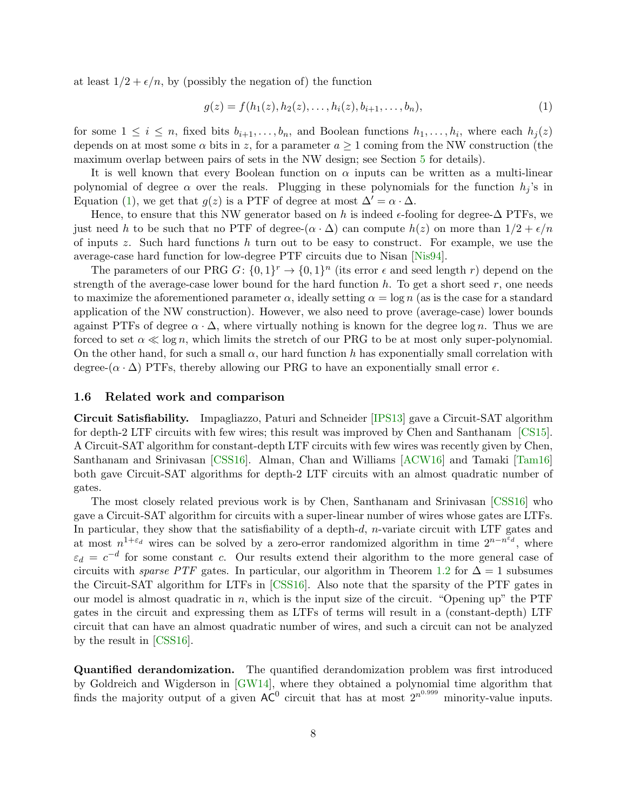<span id="page-8-2"></span>at least  $1/2 + \epsilon/n$ , by (possibly the negation of) the function

<span id="page-8-1"></span>
$$
g(z) = f(h_1(z), h_2(z), \dots, h_i(z), b_{i+1}, \dots, b_n),
$$
\n(1)

for some  $1 \leq i \leq n$ , fixed bits  $b_{i+1}, \ldots, b_n$ , and Boolean functions  $h_1, \ldots, h_i$ , where each  $h_j(z)$ depends on at most some  $\alpha$  bits in z, for a parameter  $a \ge 1$  coming from the NW construction (the maximum overlap between pairs of sets in the NW design; see Section [5](#page-28-1) for details).

It is well known that every Boolean function on  $\alpha$  inputs can be written as a multi-linear polynomial of degree  $\alpha$  over the reals. Plugging in these polynomials for the function  $h_i$ 's in Equation [\(1\)](#page-8-1), we get that  $g(z)$  is a PTF of degree at most  $\Delta' = \alpha \cdot \Delta$ .

Hence, to ensure that this NW generator based on h is indeed  $\epsilon$ -fooling for degree- $\Delta$  PTFs, we just need h to be such that no PTF of degree- $(\alpha \cdot \Delta)$  can compute  $h(z)$  on more than  $1/2 + \epsilon/n$ of inputs z. Such hard functions h turn out to be easy to construct. For example, we use the average-case hard function for low-degree PTF circuits due to Nisan [\[Nis94\]](#page--1-7).

The parameters of our PRG  $G: \{0,1\}^r \to \{0,1\}^n$  (its error  $\epsilon$  and seed length r) depend on the strength of the average-case lower bound for the hard function  $h$ . To get a short seed  $r$ , one needs to maximize the aforementioned parameter  $\alpha$ , ideally setting  $\alpha = \log n$  (as is the case for a standard application of the NW construction). However, we also need to prove (average-case) lower bounds against PTFs of degree  $\alpha \cdot \Delta$ , where virtually nothing is known for the degree log n. Thus we are forced to set  $\alpha \ll \log n$ , which limits the stretch of our PRG to be at most only super-polynomial. On the other hand, for such a small  $\alpha$ , our hard function h has exponentially small correlation with degree-( $\alpha \cdot \Delta$ ) PTFs, thereby allowing our PRG to have an exponentially small error  $\epsilon$ .

#### <span id="page-8-0"></span>1.6 Related work and comparison

Circuit Satisfiability. Impagliazzo, Paturi and Schneider [\[IPS13\]](#page-31-6) gave a Circuit-SAT algorithm for depth-2 LTF circuits with few wires; this result was improved by Chen and Santhanam [\[CS15\]](#page-31-5). A Circuit-SAT algorithm for constant-depth LTF circuits with few wires was recently given by Chen, Santhanam and Srinivasan [\[CSS16\]](#page-31-3). Alman, Chan and Williams [\[ACW16\]](#page-30-1) and Tamaki [\[Tam16\]](#page--1-8) both gave Circuit-SAT algorithms for depth-2 LTF circuits with an almost quadratic number of gates.

The most closely related previous work is by Chen, Santhanam and Srinivasan [\[CSS16\]](#page-31-3) who gave a Circuit-SAT algorithm for circuits with a super-linear number of wires whose gates are LTFs. In particular, they show that the satisfiability of a depth-d, n-variate circuit with LTF gates and at most  $n^{1+\varepsilon_d}$  wires can be solved by a zero-error randomized algorithm in time  $2^{n-n^{\varepsilon_d}}$ , where  $\varepsilon_d = c^{-d}$  for some constant c. Our results extend their algorithm to the more general case of circuits with *sparse PTF* gates. In particular, our algorithm in Theorem [1.2](#page-4-1) for  $\Delta = 1$  subsumes the Circuit-SAT algorithm for LTFs in [\[CSS16\]](#page-31-3). Also note that the sparsity of the PTF gates in our model is almost quadratic in  $n$ , which is the input size of the circuit. "Opening up" the PTF gates in the circuit and expressing them as LTFs of terms will result in a (constant-depth) LTF circuit that can have an almost quadratic number of wires, and such a circuit can not be analyzed by the result in [\[CSS16\]](#page-31-3).

Quantified derandomization. The quantified derandomization problem was first introduced by Goldreich and Wigderson in [\[GW14\]](#page-31-1), where they obtained a polynomial time algorithm that finds the majority output of a given  $AC^0$  circuit that has at most  $2^{n^{0.999}}$  minority-value inputs.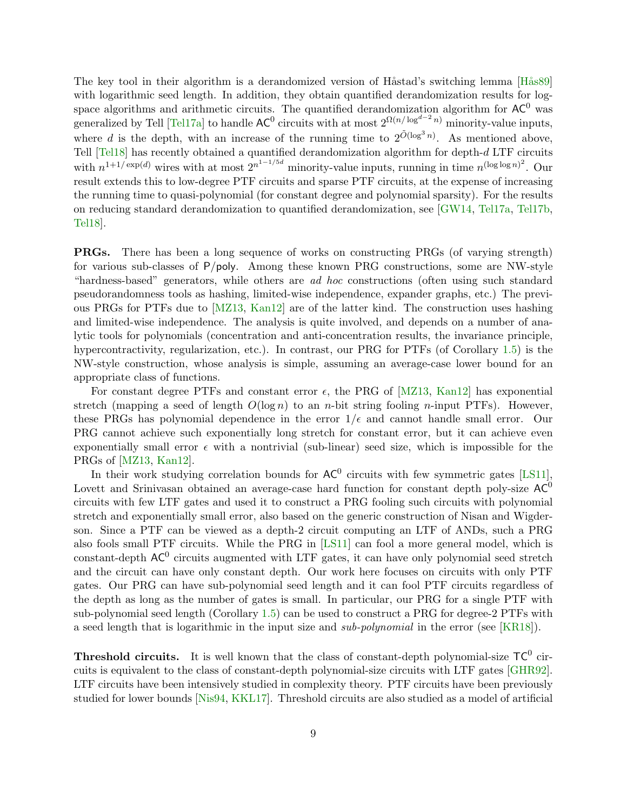<span id="page-9-0"></span>The key tool in their algorithm is a derandomized version of Håstad's switching lemma [Hås89] with logarithmic seed length. In addition, they obtain quantified derandomization results for logspace algorithms and arithmetic circuits. The quantified derandomization algorithm for  $AC^0$  was generalized by Tell [\[Tel17a\]](#page--1-2) to handle  $AC^0$  circuits with at most  $2^{\Omega(n/\log^{d-2} n)}$  minority-value inputs, where d is the depth, with an increase of the running time to  $2^{\tilde{O}(\log^3 n)}$ . As mentioned above, Tell [\[Tel18\]](#page--1-3) has recently obtained a quantified derandomization algorithm for depth-d LTF circuits with  $n^{1+1/\exp(d)}$  wires with at most  $2^{n^{1-1/5d}}$  minority-value inputs, running in time  $n^{(\log \log n)^2}$ . Our result extends this to low-degree PTF circuits and sparse PTF circuits, at the expense of increasing the running time to quasi-polynomial (for constant degree and polynomial sparsity). For the results on reducing standard derandomization to quantified derandomization, see [\[GW14,](#page-31-1) [Tel17a,](#page--1-2) [Tel17b,](#page--1-9) [Tel18\]](#page--1-3).

**PRGs.** There has been a long sequence of works on constructing PRGs (of varying strength) for various sub-classes of P/poly. Among these known PRG constructions, some are NW-style "hardness-based" generators, while others are ad hoc constructions (often using such standard pseudorandomness tools as hashing, limited-wise independence, expander graphs, etc.) The previous PRGs for PTFs due to [\[MZ13,](#page-31-8) [Kan12\]](#page-31-9) are of the latter kind. The construction uses hashing and limited-wise independence. The analysis is quite involved, and depends on a number of analytic tools for polynomials (concentration and anti-concentration results, the invariance principle, hypercontractivity, regularization, etc.). In contrast, our PRG for PTFs (of Corollary [1.5\)](#page-5-1) is the NW-style construction, whose analysis is simple, assuming an average-case lower bound for an appropriate class of functions.

For constant degree PTFs and constant error  $\epsilon$ , the PRG of [\[MZ13,](#page-31-8) [Kan12\]](#page-31-9) has exponential stretch (mapping a seed of length  $O(\log n)$  to an *n*-bit string fooling *n*-input PTFs). However, these PRGs has polynomial dependence in the error  $1/\epsilon$  and cannot handle small error. Our PRG cannot achieve such exponentially long stretch for constant error, but it can achieve even exponentially small error  $\epsilon$  with a nontrivial (sub-linear) seed size, which is impossible for the PRGs of [\[MZ13,](#page-31-8) [Kan12\]](#page-31-9).

In their work studying correlation bounds for  $AC^0$  circuits with few symmetric gates [\[LS11\]](#page-31-10), Lovett and Srinivasan obtained an average-case hard function for constant depth poly-size  $AC^0$ circuits with few LTF gates and used it to construct a PRG fooling such circuits with polynomial stretch and exponentially small error, also based on the generic construction of Nisan and Wigderson. Since a PTF can be viewed as a depth-2 circuit computing an LTF of ANDs, such a PRG also fools small PTF circuits. While the PRG in [\[LS11\]](#page-31-10) can fool a more general model, which is constant-depth  $AC^0$  circuits augmented with LTF gates, it can have only polynomial seed stretch and the circuit can have only constant depth. Our work here focuses on circuits with only PTF gates. Our PRG can have sub-polynomial seed length and it can fool PTF circuits regardless of the depth as long as the number of gates is small. In particular, our PRG for a single PTF with sub-polynomial seed length (Corollary [1.5\)](#page-5-1) can be used to construct a PRG for degree-2 PTFs with a seed length that is logarithmic in the input size and sub-polynomial in the error (see [\[KR18\]](#page-31-11)).

**Threshold circuits.** It is well known that the class of constant-depth polynomial-size  $TC^0$  circuits is equivalent to the class of constant-depth polynomial-size circuits with LTF gates [\[GHR92\]](#page-31-12). LTF circuits have been intensively studied in complexity theory. PTF circuits have been previously studied for lower bounds [\[Nis94,](#page--1-7) [KKL17\]](#page-31-4). Threshold circuits are also studied as a model of artificial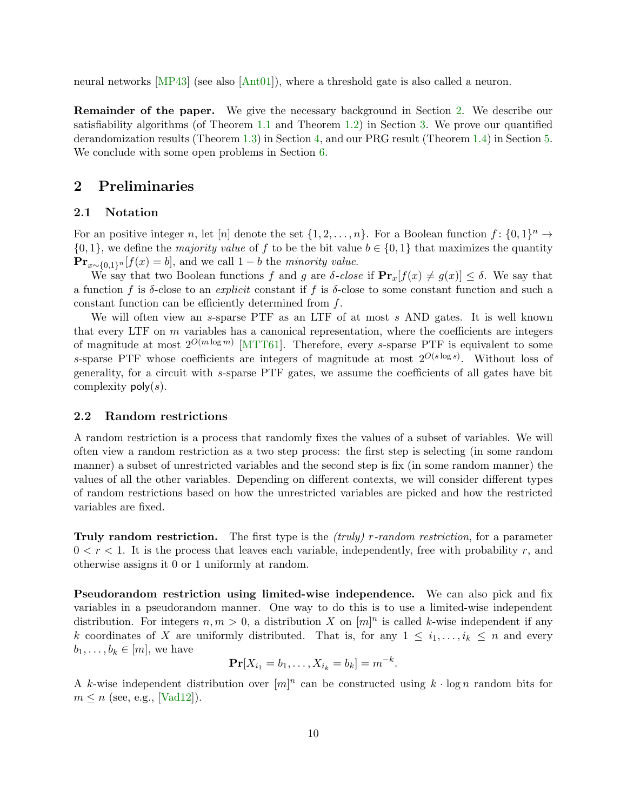<span id="page-10-3"></span>neural networks [\[MP43\]](#page-31-13) (see also [\[Ant01\]](#page-30-2)), where a threshold gate is also called a neuron.

Remainder of the paper. We give the necessary background in Section [2.](#page-10-0) We describe our satisfiability algorithms (of Theorem [1.1](#page-4-2) and Theorem [1.2\)](#page-4-1) in Section [3.](#page-13-0) We prove our quantified derandomization results (Theorem [1.3\)](#page-5-2) in Section [4,](#page-22-0) and our PRG result (Theorem [1.4\)](#page-5-3) in Section [5.](#page-28-1) We conclude with some open problems in Section [6.](#page-30-0)

## <span id="page-10-0"></span>2 Preliminaries

#### <span id="page-10-1"></span>2.1 Notation

For an positive integer n, let [n] denote the set  $\{1, 2, ..., n\}$ . For a Boolean function  $f: \{0, 1\}^n \to$  $\{0,1\}$ , we define the *majority value* of f to be the bit value  $b \in \{0,1\}$  that maximizes the quantity  $\mathbf{Pr}_{x \sim \{0,1\}^n}[f(x) = b]$ , and we call  $1 - b$  the *minority value*.

We say that two Boolean functions f and g are  $\delta$ -close if  $\mathbf{Pr}_x[f(x) \neq g(x)] \leq \delta$ . We say that a function f is  $\delta$ -close to an *explicit* constant if f is  $\delta$ -close to some constant function and such a constant function can be efficiently determined from f.

We will often view an s-sparse PTF as an LTF of at most s AND gates. It is well known that every LTF on  $m$  variables has a canonical representation, where the coefficients are integers of magnitude at most  $2^{O(m \log m)}$  [\[MTT61\]](#page-31-2). Therefore, every s-sparse PTF is equivalent to some s-sparse PTF whose coefficients are integers of magnitude at most  $2^{O(s \log s)}$ . Without loss of generality, for a circuit with s-sparse PTF gates, we assume the coefficients of all gates have bit complexity  $\mathsf{poly}(s)$ .

#### <span id="page-10-2"></span>2.2 Random restrictions

A random restriction is a process that randomly fixes the values of a subset of variables. We will often view a random restriction as a two step process: the first step is selecting (in some random manner) a subset of unrestricted variables and the second step is fix (in some random manner) the values of all the other variables. Depending on different contexts, we will consider different types of random restrictions based on how the unrestricted variables are picked and how the restricted variables are fixed.

Truly random restriction. The first type is the *(truly) r-random restriction*, for a parameter  $0 < r < 1$ . It is the process that leaves each variable, independently, free with probability r, and otherwise assigns it 0 or 1 uniformly at random.

Pseudorandom restriction using limited-wise independence. We can also pick and fix variables in a pseudorandom manner. One way to do this is to use a limited-wise independent distribution. For integers  $n, m > 0$ , a distribution X on  $[m]^n$  is called k-wise independent if any k coordinates of X are uniformly distributed. That is, for any  $1 \leq i_1, \ldots, i_k \leq n$  and every  $b_1, \ldots, b_k \in [m]$ , we have

$$
\Pr[X_{i_1} = b_1, \dots, X_{i_k} = b_k] = m^{-k}.
$$

A k-wise independent distribution over  $[m]^n$  can be constructed using  $k \cdot \log n$  random bits for  $m \leq n$  (see, e.g., [\[Vad12\]](#page--1-10)).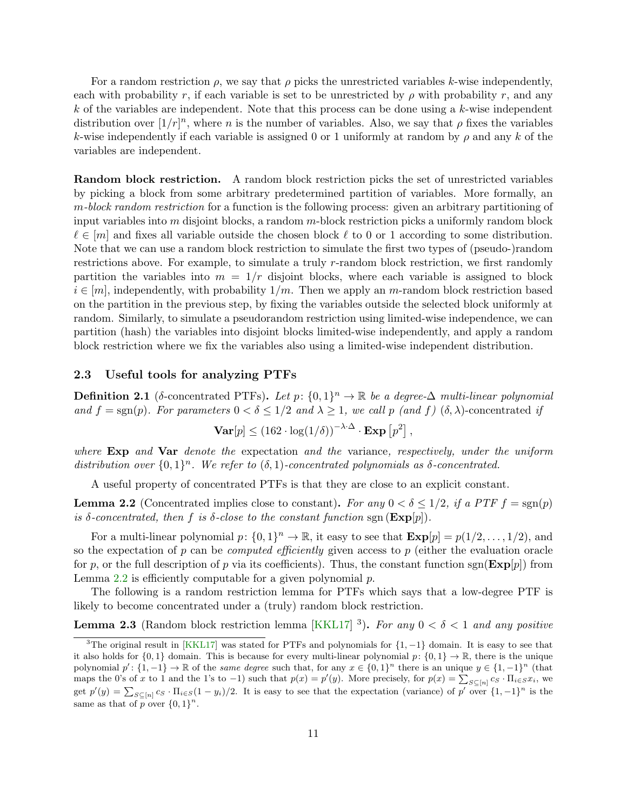<span id="page-11-4"></span>For a random restriction  $\rho$ , we say that  $\rho$  picks the unrestricted variables k-wise independently, each with probability r, if each variable is set to be unrestricted by  $\rho$  with probability r, and any  $k$  of the variables are independent. Note that this process can be done using a  $k$ -wise independent distribution over  $[1/r]^n$ , where n is the number of variables. Also, we say that  $\rho$  fixes the variables k-wise independently if each variable is assigned 0 or 1 uniformly at random by  $\rho$  and any k of the variables are independent.

Random block restriction. A random block restriction picks the set of unrestricted variables by picking a block from some arbitrary predetermined partition of variables. More formally, an m-block random restriction for a function is the following process: given an arbitrary partitioning of input variables into  $m$  disjoint blocks, a random  $m$ -block restriction picks a uniformly random block  $\ell \in [m]$  and fixes all variable outside the chosen block  $\ell$  to 0 or 1 according to some distribution. Note that we can use a random block restriction to simulate the first two types of (pseudo-)random restrictions above. For example, to simulate a truly r-random block restriction, we first randomly partition the variables into  $m = 1/r$  disjoint blocks, where each variable is assigned to block  $i \in [m]$ , independently, with probability  $1/m$ . Then we apply an m-random block restriction based on the partition in the previous step, by fixing the variables outside the selected block uniformly at random. Similarly, to simulate a pseudorandom restriction using limited-wise independence, we can partition (hash) the variables into disjoint blocks limited-wise independently, and apply a random block restriction where we fix the variables also using a limited-wise independent distribution.

#### <span id="page-11-0"></span>2.3 Useful tools for analyzing PTFs

<span id="page-11-1"></span>**Definition 2.1** ( $\delta$ -concentrated PTFs). Let  $p: \{0, 1\}^n \to \mathbb{R}$  be a degree- $\Delta$  multi-linear polynomial and  $f = sgn(p)$ . For parameters  $0 < \delta \leq 1/2$  and  $\lambda \geq 1$ , we call p (and f)  $(\delta, \lambda)$ -concentrated if

$$
\mathbf{Var}[p] \leq (162 \cdot \log(1/\delta))^{-\lambda \cdot \Delta} \cdot \mathbf{Exp}[p^2],
$$

where  $Exp$  and  $Var$  denote the expectation and the variance, respectively, under the uniform distribution over  $\{0,1\}^n$ . We refer to  $(\delta,1)$ -concentrated polynomials as  $\delta$ -concentrated.

A useful property of concentrated PTFs is that they are close to an explicit constant.

<span id="page-11-2"></span>**Lemma 2.2** (Concentrated implies close to constant). For any  $0 < \delta \leq 1/2$ , if a PTF  $f = sgn(p)$ is δ-concentrated, then f is δ-close to the constant function sgn  $(\mathbf{Exp}[p])$ .

For a multi-linear polynomial  $p: \{0,1\}^n \to \mathbb{R}$ , it easy to see that  $\mathbf{Exp}[p] = p(1/2,\ldots,1/2)$ , and so the expectation of p can be *computed efficiently* given access to p (either the evaluation oracle for p, or the full description of p via its coefficients). Thus, the constant function sgn( $\mathbf{Exp}[p]$ ) from Lemma  $2.2$  is efficiently computable for a given polynomial  $p$ .

The following is a random restriction lemma for PTFs which says that a low-degree PTF is likely to become concentrated under a (truly) random block restriction.

<span id="page-11-3"></span>**Lemma 2.3** (Random block restriction lemma [\[KKL17\]](#page-31-4)<sup>3</sup>). For any  $0 < \delta < 1$  and any positive

<sup>&</sup>lt;sup>3</sup>The original result in [\[KKL17\]](#page-31-4) was stated for PTFs and polynomials for  $\{1, -1\}$  domain. It is easy to see that it also holds for  $\{0,1\}$  domain. This is because for every multi-linear polynomial  $p: \{0,1\} \to \mathbb{R}$ , there is the unique polynomial  $p' : \{1, -1\} \to \mathbb{R}$  of the *same degree* such that, for any  $x \in \{0, 1\}^n$  there is an unique  $y \in \{1, -1\}^n$  (that maps the 0's of x to 1 and the 1's to -1) such that  $p(x) = p'(y)$ . More precisely, for  $p(x) = \sum_{S \subseteq [n]} c_S \cdot \prod_{i \in S} x_i$ , we get  $p'(y) = \sum_{S \subseteq [n]} c_S \cdot \prod_{i \in S} (1 - y_i)/2$ . It is easy to see that the expectation (variance) of p' over  $\{1, -1\}^n$  is the same as that of  $p \overline{p}$  over  $\{0,1\}^n$ .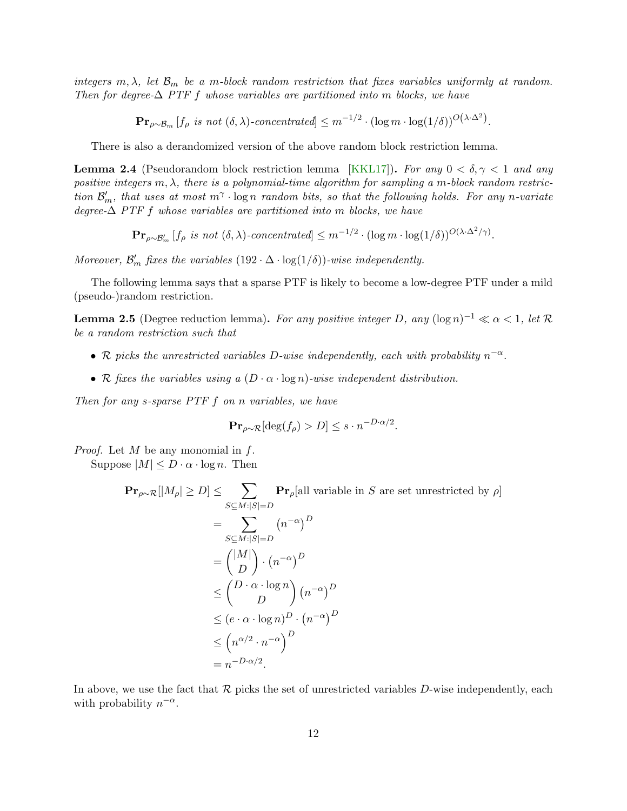<span id="page-12-2"></span>integers m,  $\lambda$ , let  $\mathcal{B}_m$  be a m-block random restriction that fixes variables uniformly at random. Then for degree- $\Delta$  PTF f whose variables are partitioned into m blocks, we have

 $\mathbf{Pr}_{\rho \sim \mathcal{B}_m} [f_\rho \text{ is not } (\delta, \lambda) \text{-concentrated}] \leq m^{-1/2} \cdot (\log m \cdot \log(1/\delta))^{O\left(\lambda \cdot \Delta^2\right)}.$ 

There is also a derandomized version of the above random block restriction lemma.

<span id="page-12-1"></span>**Lemma 2.4** (Pseudorandom block restriction lemma [\[KKL17\]](#page-31-4)). For any  $0 < \delta, \gamma < 1$  and any positive integers  $m, \lambda$ , there is a polynomial-time algorithm for sampling a m-block random restriction  $\mathcal{B}'_m$ , that uses at most  $m^{\gamma} \cdot \log n$  random bits, so that the following holds. For any n-variate degree- $\Delta$  PTF f whose variables are partitioned into m blocks, we have

 $\mathbf{Pr}_{\rho \sim \mathcal{B}'_m} [f_\rho \text{ is not } (\delta, \lambda)\text{-concentrated}] \leq m^{-1/2} \cdot (\log m \cdot \log(1/\delta))^{O(\lambda \cdot \Delta^2/\gamma)}.$ 

Moreover,  $\mathcal{B}'_m$  fixes the variables  $(192 \cdot \Delta \cdot \log(1/\delta))$ -wise independently.

The following lemma says that a sparse PTF is likely to become a low-degree PTF under a mild (pseudo-)random restriction.

<span id="page-12-0"></span>**Lemma 2.5** (Degree reduction lemma). For any positive integer D, any  $(\log n)^{-1} \ll \alpha < 1$ , let R be a random restriction such that

- R picks the unrestricted variables D-wise independently, each with probability  $n^{-\alpha}$ .
- R fixes the variables using a  $(D \cdot \alpha \cdot \log n)$ -wise independent distribution.

Then for any s-sparse PTF f on n variables, we have

$$
\mathbf{Pr}_{\rho \sim \mathcal{R}}[\deg(f_{\rho}) > D] \le s \cdot n^{-D \cdot \alpha/2}.
$$

*Proof.* Let  $M$  be any monomial in  $f$ .

Suppose  $|M| \leq D \cdot \alpha \cdot \log n$ . Then

$$
\begin{aligned} \mathbf{Pr}_{\rho \sim \mathcal{R}}[|M_{\rho}| \geq D] &\leq \sum_{S \subseteq M : |S| = D} \mathbf{Pr}_{\rho}[\text{all variable in } S \text{ are set unrestricted by } \rho] \\ &= \sum_{S \subseteq M : |S| = D} (n^{-\alpha})^D \\ &= \binom{|M|}{D} \cdot (n^{-\alpha})^D \\ &\leq \binom{D \cdot \alpha \cdot \log n}{D} (n^{-\alpha})^D \\ &\leq (e \cdot \alpha \cdot \log n)^D \cdot (n^{-\alpha})^D \\ &\leq \left(n^{\alpha/2} \cdot n^{-\alpha}\right)^D \\ &= n^{-D \cdot \alpha/2} .\end{aligned}
$$

In above, we use the fact that  $\mathcal R$  picks the set of unrestricted variables D-wise independently, each with probability  $n^{-\alpha}$ .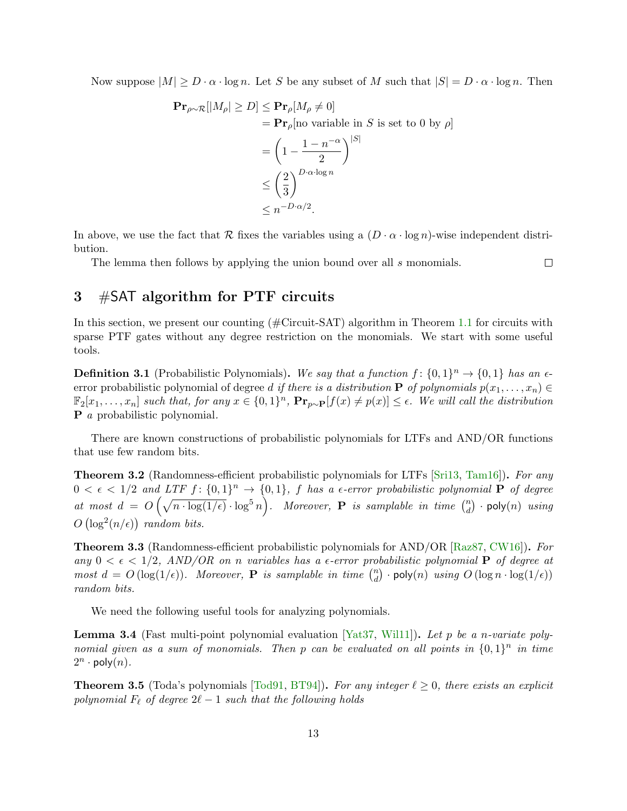<span id="page-13-5"></span>Now suppose  $|M| \ge D \cdot \alpha \cdot \log n$ . Let S be any subset of M such that  $|S| = D \cdot \alpha \cdot \log n$ . Then

$$
\begin{aligned} \mathbf{Pr}_{\rho \sim \mathcal{R}}[|M_{\rho}| \geq D] &\leq \mathbf{Pr}_{\rho}[M_{\rho} \neq 0] \\ &= \mathbf{Pr}_{\rho}[\text{no variable in } S \text{ is set to 0 by } \rho] \\ &= \left(1 - \frac{1 - n^{-\alpha}}{2}\right)^{|S|} \\ &\leq \left(\frac{2}{3}\right)^{D \cdot \alpha \cdot \log n} \\ &\leq n^{-D \cdot \alpha/2} .\end{aligned}
$$

In above, we use the fact that R fixes the variables using a  $(D \cdot \alpha \cdot \log n)$ -wise independent distribution.

The lemma then follows by applying the union bound over all s monomials.

 $\Box$ 

## <span id="page-13-0"></span>3 #SAT algorithm for PTF circuits

In this section, we present our counting (#Circuit-SAT) algorithm in Theorem [1.1](#page-4-2) for circuits with sparse PTF gates without any degree restriction on the monomials. We start with some useful tools.

**Definition 3.1** (Probabilistic Polynomials). We say that a function  $f: \{0,1\}^n \to \{0,1\}$  has an  $\epsilon$ error probabilistic polynomial of degree d if there is a distribution **P** of polynomials  $p(x_1, \ldots, x_n)$  $\mathbb{F}_2[x_1,\ldots,x_n]$  such that, for any  $x \in \{0,1\}^n$ ,  $\mathbf{Pr}_{p\sim P}[f(x) \neq p(x)] \leq \epsilon$ . We will call the distribution P a probabilistic polynomial.

There are known constructions of probabilistic polynomials for LTFs and AND/OR functions that use few random bits.

<span id="page-13-2"></span>**Theorem 3.2** (Randomness-efficient probabilistic polynomials for LTFs [\[Sri13,](#page--1-11) [Tam16\]](#page--1-8)). For any  $0 < \epsilon < 1/2$  and LTF  $f: \{0,1\}^n \to \{0,1\}$ , f has a  $\epsilon$ -error probabilistic polynomial **P** of degree at most  $d = O\left(\sqrt{n \cdot \log(1/\epsilon)} \cdot \log^5 n\right)$ . Moreover, **P** is samplable in time  $\binom{n}{d}$  $\binom{n}{d}$  · poly $(n)$   $using$  $O\left(\log^2(n/\epsilon)\right)$  random bits.

<span id="page-13-1"></span>Theorem 3.3 (Randomness-efficient probabilistic polynomials for AND/OR [\[Raz87,](#page--1-12) [CW16\]](#page-31-14)). For any  $0 < \epsilon < 1/2$ , AND/OR on n variables has a  $\epsilon$ -error probabilistic polynomial **P** of degree at most  $d = O(\log(1/\epsilon))$ . Moreover, **P** is samplable in time  $\binom{n}{d}$  $\binom{n}{d}$  · poly $(n)$  using  $O\left(\log n \cdot \log(1/\epsilon)\right)$ random bits.

We need the following useful tools for analyzing polynomials.

<span id="page-13-4"></span>**Lemma 3.4** (Fast multi-point polynomial evaluation [\[Yat37,](#page--1-13) Will1]). Let p be a n-variate polynomial given as a sum of monomials. Then p can be evaluated on all points in  $\{0,1\}^n$  in time  $2^n \cdot \text{poly}(n)$ .

<span id="page-13-3"></span>**Theorem 3.5** (Toda's polynomials [\[Tod91,](#page--1-14) [BT94\]](#page-31-15)). For any integer  $\ell \geq 0$ , there exists an explicit polynomial  $F_\ell$  of degree  $2\ell - 1$  such that the following holds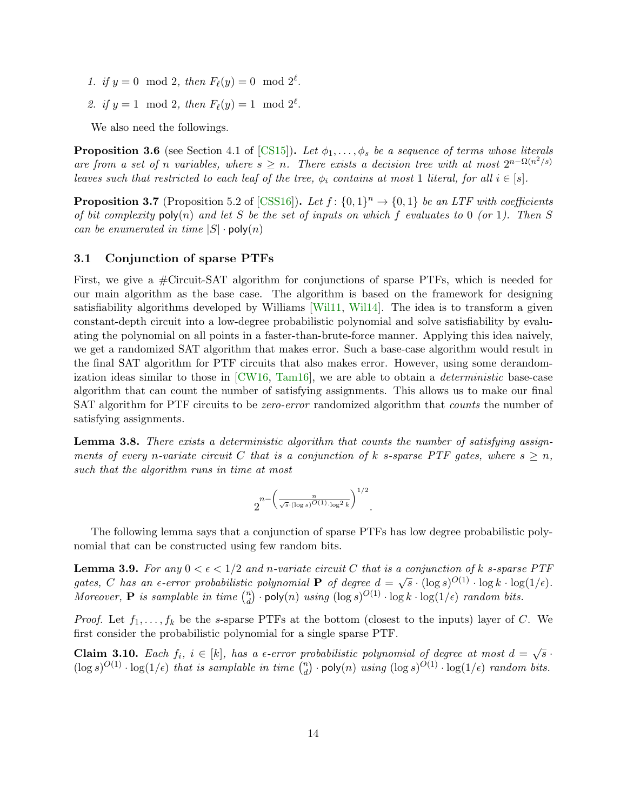- <span id="page-14-6"></span>1. if  $y = 0 \mod 2$ , then  $F_{\ell}(y) = 0 \mod 2^{\ell}$ .
- 2. if  $y = 1 \mod 2$ , then  $F_{\ell}(y) = 1 \mod 2^{\ell}$ .

We also need the followings.

<span id="page-14-4"></span>**Proposition 3.6** (see Section 4.1 of [\[CS15\]](#page-31-5)). Let  $\phi_1, \ldots, \phi_s$  be a sequence of terms whose literals are from a set of n variables, where  $s \geq n$ . There exists a decision tree with at most  $2^{n-\Omega(n^2/s)}$ leaves such that restricted to each leaf of the tree,  $\phi_i$  contains at most 1 literal, for all  $i \in [s]$ .

<span id="page-14-5"></span>**Proposition 3.7** (Proposition 5.2 of [\[CSS16\]](#page-31-3)). Let  $f: \{0,1\}^n \rightarrow \{0,1\}$  be an LTF with coefficients of bit complexity  $\mathsf{poly}(n)$  and let S be the set of inputs on which f evaluates to 0 (or 1). Then S can be enumerated in time  $|S| \cdot \text{poly}(n)$ 

#### <span id="page-14-0"></span>3.1 Conjunction of sparse PTFs

First, we give a #Circuit-SAT algorithm for conjunctions of sparse PTFs, which is needed for our main algorithm as the base case. The algorithm is based on the framework for designing satisfiability algorithms developed by Williams [\[Wil11,](#page--1-1) [Wil14\]](#page--1-5). The idea is to transform a given constant-depth circuit into a low-degree probabilistic polynomial and solve satisfiability by evaluating the polynomial on all points in a faster-than-brute-force manner. Applying this idea naively, we get a randomized SAT algorithm that makes error. Such a base-case algorithm would result in the final SAT algorithm for PTF circuits that also makes error. However, using some derandomization ideas similar to those in  $\lbrack CW16, Tam16 \rbrack$ , we are able to obtain a *deterministic* base-case algorithm that can count the number of satisfying assignments. This allows us to make our final SAT algorithm for PTF circuits to be *zero-error* randomized algorithm that *counts* the number of satisfying assignments.

<span id="page-14-2"></span>Lemma 3.8. There exists a deterministic algorithm that counts the number of satisfying assignments of every n-variate circuit C that is a conjunction of k s-sparse PTF gates, where  $s \geq n$ , such that the algorithm runs in time at most

$$
2^{n - \left(\frac{n}{\sqrt{s} \cdot (\log s)^{O(1)} \cdot \log^2 k}\right)^{1/2}}.
$$

The following lemma says that a conjunction of sparse PTFs has low degree probabilistic polynomial that can be constructed using few random bits.

<span id="page-14-3"></span>**Lemma 3.9.** For any  $0 < \epsilon < 1/2$  and n-variate circuit C that is a conjunction of k s-sparse PTF gates, C has an  $\epsilon$ -error probabilistic polynomial **P** of degree  $d = \sqrt{s} \cdot (\log s)^{O(1)} \cdot \log k \cdot \log(1/\epsilon)$ . Moreover, **P** is samplable in time  $\binom{n}{d}$  $\mathcal{L}_d^n$ ) · poly $(n)$  using  $(\log s)^{O(1)} \cdot \log k \cdot \log(1/\epsilon)$  random bits.

*Proof.* Let  $f_1, \ldots, f_k$  be the s-sparse PTFs at the bottom (closest to the inputs) layer of C. We first consider the probabilistic polynomial for a single sparse PTF.

<span id="page-14-1"></span>**Claim 3.10.** Each  $f_i$ ,  $i \in [k]$ , has a  $\epsilon$ -error probabilistic polynomial of degree at most  $d = \sqrt{s}$ .  $(\log s)^{O(1)} \cdot \log(1/\epsilon)$  that is samplable in time  $\binom{n}{d}$  $\log_{d}^{n}$  · poly $(n)$  using  $(\log s)^{O(1)} \cdot \log(1/\epsilon)$  random bits.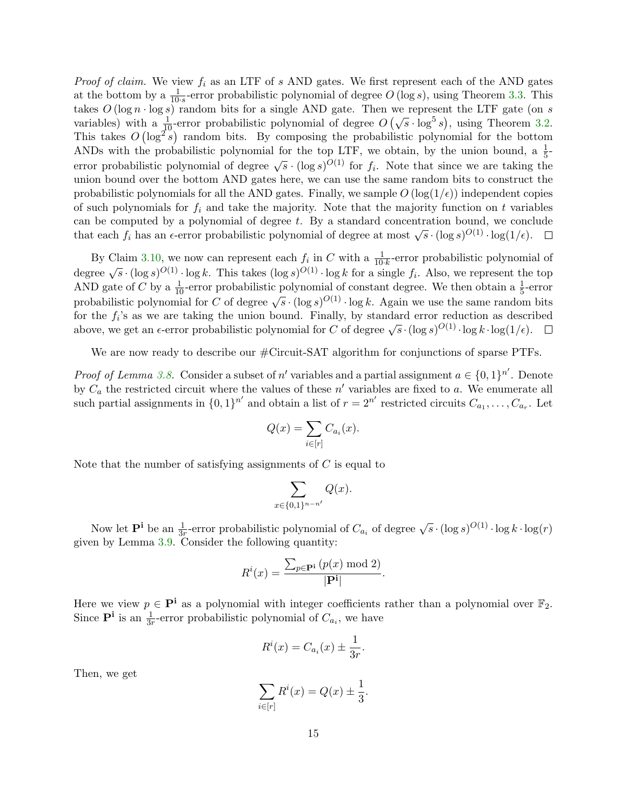*Proof of claim.* We view  $f_i$  as an LTF of s AND gates. We first represent each of the AND gates at the bottom by a  $\frac{1}{10 \cdot s}$ -error probabilistic polynomial of degree  $O(\log s)$ , using Theorem [3.3.](#page-13-1) This takes  $O(\log n \cdot \log s)$  random bits for a single AND gate. Then we represent the LTF gate (on s variables) with a  $\frac{1}{10}$ -error probabilistic polynomial of degree  $O(\sqrt{s} \cdot \log^5 s)$ , using Theorem [3.2.](#page-13-2) This takes  $O(\log^2 s)$  random bits. By composing the probabilistic polynomial for the bottom ANDs with the probabilistic polynomial for the top LTF, we obtain, by the union bound, a  $\frac{1}{5}$ error probabilistic polynomial of degree  $\sqrt{s} \cdot (\log s)^{O(1)}$  for  $f_i$ . Note that since we are taking the union bound over the bottom AND gates here, we can use the same random bits to construct the probabilistic polynomials for all the AND gates. Finally, we sample  $O(\log(1/\epsilon))$  independent copies of such polynomials for  $f_i$  and take the majority. Note that the majority function on t variables can be computed by a polynomial of degree  $t$ . By a standard concentration bound, we conclude that each  $f_i$  has an  $\epsilon$ -error probabilistic polynomial of degree at most  $\sqrt{s} \cdot (\log s)^{O(1)} \cdot \log(1/\epsilon)$ .

By Claim [3.10,](#page-14-1) we now can represent each  $f_i$  in C with a  $\frac{1}{10 \cdot k}$ -error probabilistic polynomial of  $\frac{d}{dx} \log s \log^{O(1)} \log k$ . This takes  $(\log s)^{O(1)} \cdot \log k$  for a single  $f_i$ . Also, we represent the top AND gate of C by a  $\frac{1}{10}$ -error probabilistic polynomial of constant degree. We then obtain a  $\frac{1}{5}$ -error probabilistic polynomial for C of degree  $\sqrt{s} \cdot (\log s)^{O(1)} \cdot \log k$ . Again we use the same random bits for the  $f_i$ 's as we are taking the union bound. Finally, by standard error reduction as described above, we get an  $\epsilon$ -error probabilistic polynomial for C of degree  $\sqrt{s} \cdot (\log s)^{O(1)} \cdot \log k \cdot \log(1/\epsilon)$ .

We are now ready to describe our  $\#$ Circuit-SAT algorithm for conjunctions of sparse PTFs.

*Proof of Lemma [3.8.](#page-14-2)* Consider a subset of n' variables and a partial assignment  $a \in \{0,1\}^{n'}$ . Denote by  $C_a$  the restricted circuit where the values of these  $n'$  variables are fixed to a. We enumerate all such partial assignments in  $\{0,1\}^{n'}$  and obtain a list of  $r = 2^{n'}$  restricted circuits  $C_{a_1}, \ldots, C_{a_r}$ . Let

$$
Q(x) = \sum_{i \in [r]} C_{a_i}(x).
$$

Note that the number of satisfying assignments of  $C$  is equal to

$$
\sum_{x\in\{0,1\}^{n-n'}}Q(x).
$$

Now let  $\mathbf{P}^i$  be an  $\frac{1}{3r}$ -error probabilistic polynomial of  $C_{a_i}$  of degree  $\sqrt{s} \cdot (\log s)^{O(1)} \cdot \log k \cdot \log(r)$ given by Lemma [3.9.](#page-14-3) Consider the following quantity:

$$
R^{i}(x) = \frac{\sum_{p \in \mathbf{P}^{i}} (p(x) \bmod 2)}{|\mathbf{P}^{i}|}
$$

.

Here we view  $p \in \mathbf{P}^i$  as a polynomial with integer coefficients rather than a polynomial over  $\mathbb{F}_2$ . Since  $\mathbf{P}^{\mathbf{i}}$  is an  $\frac{1}{3r}$ -error probabilistic polynomial of  $C_{a_i}$ , we have

$$
R^{i}(x) = C_{a_i}(x) \pm \frac{1}{3r}.
$$

Then, we get

$$
\sum_{i \in [r]} R^i(x) = Q(x) \pm \frac{1}{3}.
$$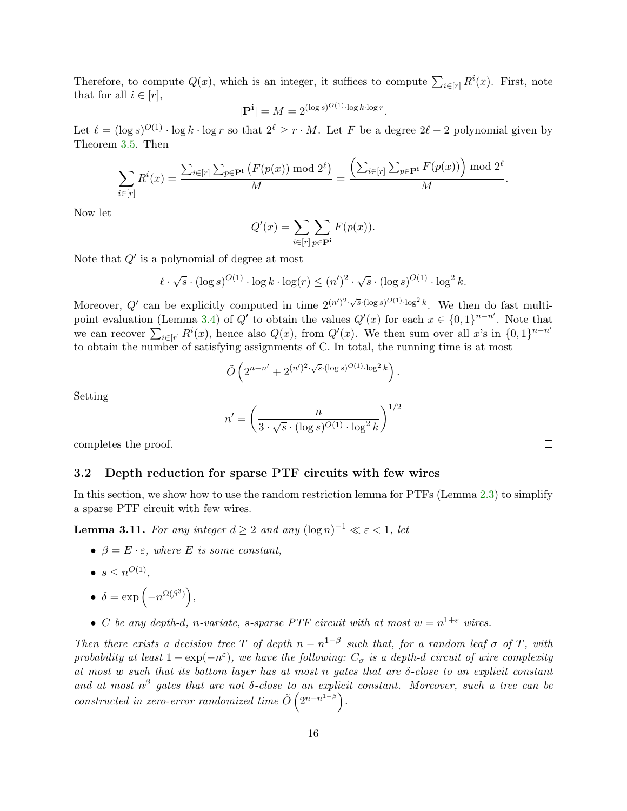Therefore, to compute  $Q(x)$ , which is an integer, it suffices to compute  $\sum_{i\in[r]} R^i(x)$ . First, note that for all  $i \in [r]$ ,

$$
|\mathbf{P}^{\mathbf{i}}| = M = 2^{(\log s)^{O(1)} \cdot \log k \cdot \log r}.
$$

Let  $\ell = (\log s)^{O(1)} \cdot \log k \cdot \log r$  so that  $2^{\ell} \ge r \cdot M$ . Let F be a degree  $2\ell - 2$  polynomial given by Theorem [3.5.](#page-13-3) Then

$$
\sum_{i \in [r]} R^i(x) = \frac{\sum_{i \in [r]} \sum_{p \in \mathbf{P}^i} (F(p(x)) \bmod 2^{\ell})}{M} = \frac{\left(\sum_{i \in [r]} \sum_{p \in \mathbf{P}^i} F(p(x))\right) \bmod 2^{\ell}}{M}.
$$

Now let

$$
Q'(x) = \sum_{i \in [r]} \sum_{p \in \mathbf{P}^i} F(p(x)).
$$

Note that  $Q'$  is a polynomial of degree at most

$$
\ell \cdot \sqrt{s} \cdot (\log s)^{O(1)} \cdot \log k \cdot \log(r) \le (n')^2 \cdot \sqrt{s} \cdot (\log s)^{O(1)} \cdot \log^2 k.
$$

Moreover, Q' can be explicitly computed in time  $2^{(n')^2 \cdot \sqrt{s} \cdot (\log s)^{O(1)} \cdot \log^2 k}$ . We then do fast multi-point evaluation (Lemma [3.4\)](#page-13-4) of Q' to obtain the values  $Q'(x)$  for each  $x \in \{0,1\}^{n-n'}$ . Note that we can recover  $\sum_{i\in[r]} R^i(x)$ , hence also  $Q(x)$ , from  $Q'(x)$ . We then sum over all x's in  $\{0,1\}^{n-n'}$ to obtain the number of satisfying assignments of C. In total, the running time is at most

$$
\tilde{O}\left(2^{n-n'} + 2^{(n')^2 \cdot \sqrt{s} \cdot (\log s)^{O(1)} \cdot \log^2 k}\right).
$$

Setting

$$
n' = \left(\frac{n}{3 \cdot \sqrt{s} \cdot (\log s)^{O(1)} \cdot \log^2 k}\right)^{1/2}
$$

completes the proof.

#### <span id="page-16-0"></span>3.2 Depth reduction for sparse PTF circuits with few wires

In this section, we show how to use the random restriction lemma for PTFs (Lemma [2.3\)](#page-11-3) to simplify a sparse PTF circuit with few wires.

<span id="page-16-1"></span>**Lemma 3.11.** For any integer  $d \geq 2$  and any  $(\log n)^{-1} \ll \varepsilon < 1$ , let

- $\beta = E \cdot \varepsilon$ , where E is some constant,
- $\bullet \ \ s \leq n^{O(1)},$
- $\delta = \exp\left(-n^{\Omega(\beta^3)}\right),$
- C be any depth-d, n-variate, s-sparse PTF circuit with at most  $w = n^{1+\epsilon}$  wires.

Then there exists a decision tree T of depth  $n - n^{1-\beta}$  such that, for a random leaf  $\sigma$  of T, with probability at least  $1 - \exp(-n^{\varepsilon})$ , we have the following:  $C_{\sigma}$  is a depth-d circuit of wire complexity at most w such that its bottom layer has at most n gates that are  $\delta$ -close to an explicit constant and at most  $n^{\beta}$  gates that are not  $\delta$ -close to an explicit constant. Moreover, such a tree can be constructed in zero-error randomized time  $\tilde{O}(2^{n-n^{1-\beta}})$ .

 $\Box$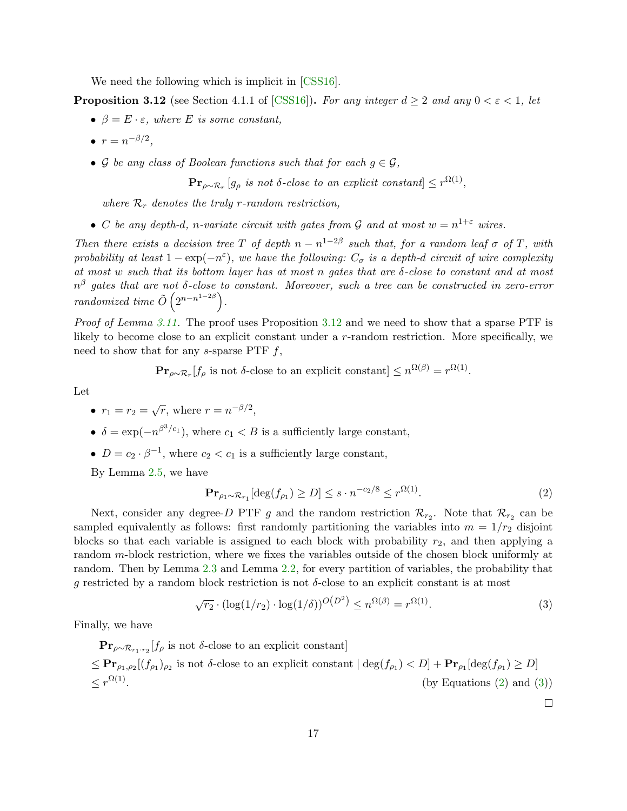<span id="page-17-3"></span>We need the following which is implicit in  $[CSS16]$ .

<span id="page-17-0"></span>**Proposition 3.12** (see Section 4.1.1 of [\[CSS16\]](#page-31-3)). For any integer  $d \geq 2$  and any  $0 < \varepsilon < 1$ , let

- $\beta = E \cdot \varepsilon$ , where E is some constant,
- $r = n^{-\beta/2},$
- G be any class of Boolean functions such that for each  $q \in \mathcal{G}$ ,

 $\mathbf{Pr}_{\rho \sim \mathcal{R}_r} [g_\rho \text{ is not } \delta\text{-close to an explicit constant}] \leq r^{\Omega(1)},$ 

where  $\mathcal{R}_r$  denotes the truly r-random restriction.

• C be any depth-d, n-variate circuit with gates from G and at most  $w = n^{1+\epsilon}$  wires.

Then there exists a decision tree T of depth  $n - n^{1-2\beta}$  such that, for a random leaf  $\sigma$  of T, with probability at least  $1 - \exp(-n^{\varepsilon})$ , we have the following:  $C_{\sigma}$  is a depth-d circuit of wire complexity at most w such that its bottom layer has at most n gates that are  $\delta$ -close to constant and at most  $n^{\beta}$  gates that are not δ-close to constant. Moreover, such a tree can be constructed in zero-error randomized time  $\tilde{O}(2^{n-n^{1-2\beta}})$ .

Proof of Lemma [3.11.](#page-16-1) The proof uses Proposition [3.12](#page-17-0) and we need to show that a sparse PTF is likely to become close to an explicit constant under a r-random restriction. More specifically, we need to show that for any s-sparse PTF  $f$ ,

 $\mathbf{Pr}_{\rho \sim \mathcal{R}_r}[f_{\rho} \text{ is not } \delta\text{-close to an explicit constant}] \leq n^{\Omega(\beta)} = r^{\Omega(1)}.$ 

Let

- $r_1 = r_2 = \sqrt{r}$ , where  $r = n^{-\beta/2}$ ,
- $\delta = \exp(-n^{\beta^3/c_1})$ , where  $c_1 < B$  is a sufficiently large constant,
- $D = c_2 \cdot \beta^{-1}$ , where  $c_2 < c_1$  is a sufficiently large constant,

By Lemma [2.5,](#page-12-0) we have

<span id="page-17-1"></span>
$$
\mathbf{Pr}_{\rho_1 \sim \mathcal{R}_{r_1}}[\deg(f_{\rho_1}) \ge D] \le s \cdot n^{-c_2/8} \le r^{\Omega(1)}.
$$
 (2)

Next, consider any degree-D PTF g and the random restriction  $\mathcal{R}_{r_2}$ . Note that  $\mathcal{R}_{r_2}$  can be sampled equivalently as follows: first randomly partitioning the variables into  $m = 1/r_2$  disjoint blocks so that each variable is assigned to each block with probability  $r_2$ , and then applying a random m-block restriction, where we fixes the variables outside of the chosen block uniformly at random. Then by Lemma [2.3](#page-11-3) and Lemma [2.2,](#page-11-2) for every partition of variables, the probability that g restricted by a random block restriction is not  $\delta$ -close to an explicit constant is at most

$$
\sqrt{r_2} \cdot (\log(1/r_2) \cdot \log(1/\delta))^{O(D^2)} \le n^{\Omega(\beta)} = r^{\Omega(1)}.
$$
 (3)

Finally, we have

 $\Pr_{\rho \sim \mathcal{R}_{r_1 \cdot r_2}}[f_\rho \text{ is not } \delta\text{-close to an explicit constant}]$  $\leq \mathbf{Pr}_{\rho_1,\rho_2}[(f_{\rho_1})_{\rho_2}]$  is not  $\delta$ -close to an explicit constant  $|\deg(f_{\rho_1})| \leq D + \mathbf{Pr}_{\rho_1}[\deg(f_{\rho_1})] \geq D$  $\leq r^{\Omega(1)}$  $(by Equations (2) and (3))$  $(by Equations (2) and (3))$  $(by Equations (2) and (3))$  $(by Equations (2) and (3))$  $(by Equations (2) and (3))$ 

<span id="page-17-2"></span> $\Box$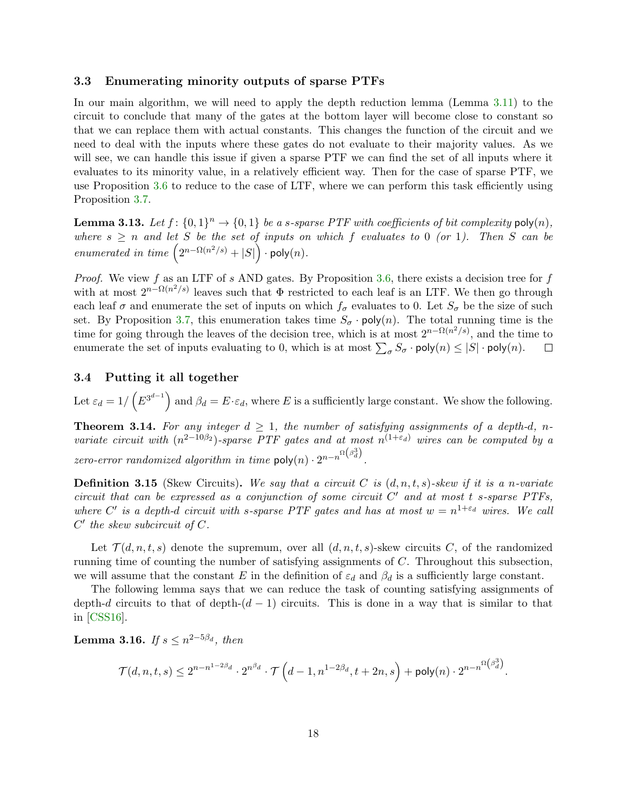#### <span id="page-18-5"></span><span id="page-18-0"></span>3.3 Enumerating minority outputs of sparse PTFs

In our main algorithm, we will need to apply the depth reduction lemma (Lemma [3.11\)](#page-16-1) to the circuit to conclude that many of the gates at the bottom layer will become close to constant so that we can replace them with actual constants. This changes the function of the circuit and we need to deal with the inputs where these gates do not evaluate to their majority values. As we will see, we can handle this issue if given a sparse PTF we can find the set of all inputs where it evaluates to its minority value, in a relatively efficient way. Then for the case of sparse PTF, we use Proposition [3.6](#page-14-4) to reduce to the case of LTF, where we can perform this task efficiently using Proposition [3.7.](#page-14-5)

<span id="page-18-2"></span>**Lemma 3.13.** Let  $f: \{0,1\}^n \to \{0,1\}$  be a s-sparse PTF with coefficients of bit complexity  $poly(n)$ , where  $s \geq n$  and let S be the set of inputs on which f evaluates to 0 (or 1). Then S can be enumerated in time  $(2^{n-\Omega(n^2/s)} + |S|) \cdot \text{poly}(n)$ .

*Proof.* We view f as an LTF of s AND gates. By Proposition [3.6,](#page-14-4) there exists a decision tree for f with at most  $2^{n-\Omega(n^2/s)}$  leaves such that  $\Phi$  restricted to each leaf is an LTF. We then go through each leaf  $\sigma$  and enumerate the set of inputs on which  $f_{\sigma}$  evaluates to 0. Let  $S_{\sigma}$  be the size of such set. By Proposition [3.7,](#page-14-5) this enumeration takes time  $S_{\sigma}$  · poly(n). The total running time is the time for going through the leaves of the decision tree, which is at most  $2^{n-\Omega(n^2/s)}$ , and the time to enumerate the set of inputs evaluating to 0, which is at most  $\sum_{\sigma} S_{\sigma} \cdot \text{poly}(n) \leq |S| \cdot \text{poly}(n)$ .  $\Box$ 

#### <span id="page-18-1"></span>3.4 Putting it all together

Let  $\varepsilon_d = 1/\left(E^{3^{d-1}}\right)$  and  $\beta_d = E \cdot \varepsilon_d$ , where E is a sufficiently large constant. We show the following.

<span id="page-18-4"></span>**Theorem 3.14.** For any integer  $d \geq 1$ , the number of satisfying assignments of a depth-d, nvariate circuit with  $(n^{2-10\beta_2})$ -sparse PTF gates and at most  $n^{(1+\epsilon_d)}$  wires can be computed by a zero-error randomized algorithm in time  $\text{poly}(n) \cdot 2^{n-n^{\Omega(\beta_d^3)}}$ .

**Definition 3.15** (Skew Circuits). We say that a circuit C is  $(d, n, t, s)$ -skew if it is a n-variate circuit that can be expressed as a conjunction of some circuit  $C'$  and at most t s-sparse PTFs, where C' is a depth-d circuit with s-sparse PTF gates and has at most  $w = n^{1+\epsilon_d}$  wires. We call  $C'$  the skew subcircuit of  $C$ .

Let  $\mathcal{T}(d, n, t, s)$  denote the supremum, over all  $(d, n, t, s)$ -skew circuits C, of the randomized running time of counting the number of satisfying assignments of C. Throughout this subsection, we will assume that the constant E in the definition of  $\varepsilon_d$  and  $\beta_d$  is a sufficiently large constant.

The following lemma says that we can reduce the task of counting satisfying assignments of depth-d circuits to that of depth- $(d - 1)$  circuits. This is done in a way that is similar to that in [\[CSS16\]](#page-31-3).

<span id="page-18-3"></span>Lemma 3.16. If  $s\leq n^{2-5\beta_d},\ then$ 

$$
\mathcal{T}(d,n,t,s) \leq 2^{n-n^{1-2\beta_d}}\cdot 2^{n^{\beta_d}}\cdot \mathcal{T}\left(d-1,n^{1-2\beta_d},t+2n,s\right) + \mathsf{poly}(n)\cdot 2^{n-n^{\Omega\left(\beta_d^3\right)}}.
$$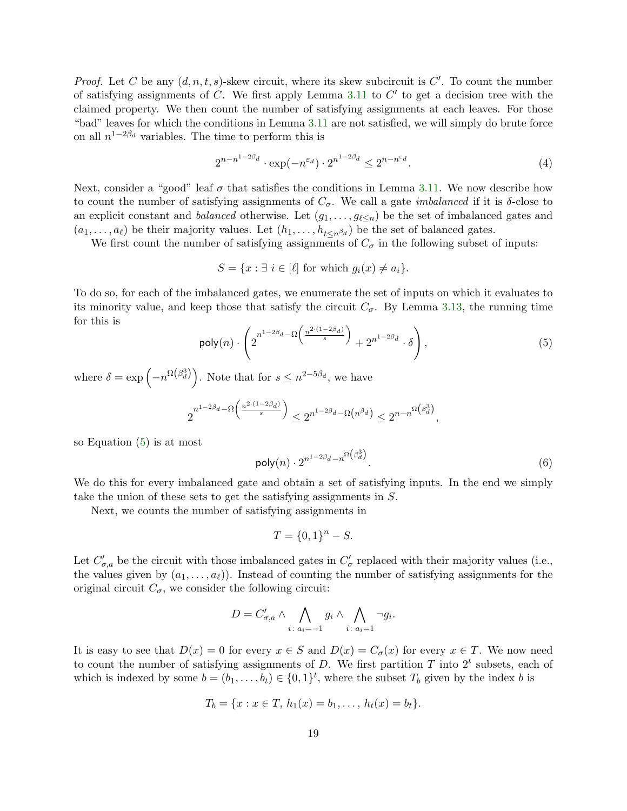*Proof.* Let C be any  $(d, n, t, s)$ -skew circuit, where its skew subcircuit is  $C'$ . To count the number of satisfying assignments of  $C$ . We first apply Lemma [3.11](#page-16-1) to  $C'$  to get a decision tree with the claimed property. We then count the number of satisfying assignments at each leaves. For those "bad" leaves for which the conditions in Lemma [3.11](#page-16-1) are not satisfied, we will simply do brute force on all  $n^{1-2\beta_d}$  variables. The time to perform this is

<span id="page-19-2"></span>
$$
2^{n-n^{1-2\beta_d}} \cdot \exp(-n^{\varepsilon_d}) \cdot 2^{n^{1-2\beta_d}} \le 2^{n-n^{\varepsilon_d}}.\tag{4}
$$

Next, consider a "good" leaf  $\sigma$  that satisfies the conditions in Lemma [3.11.](#page-16-1) We now describe how to count the number of satisfying assignments of  $C_{\sigma}$ . We call a gate *imbalanced* if it is  $\delta$ -close to an explicit constant and *balanced* otherwise. Let  $(g_1, \ldots, g_{\ell \leq n})$  be the set of imbalanced gates and  $(a_1, \ldots, a_\ell)$  be their majority values. Let  $(h_1, \ldots, h_{t\leq n^{\beta_d}})$  be the set of balanced gates.

We first count the number of satisfying assignments of  $C_{\sigma}$  in the following subset of inputs:

$$
S = \{x : \exists i \in [\ell] \text{ for which } g_i(x) \neq a_i\}.
$$

<span id="page-19-0"></span>To do so, for each of the imbalanced gates, we enumerate the set of inputs on which it evaluates to its minority value, and keep those that satisfy the circuit  $C_{\sigma}$ . By Lemma [3.13,](#page-18-2) the running time for this is

$$
\mathsf{poly}(n) \cdot \left( 2^{n^{1-2\beta_d} - \Omega\left(\frac{n^{2 \cdot (1-2\beta_d)}}{s}\right)} + 2^{n^{1-2\beta_d}} \cdot \delta \right),\tag{5}
$$

where  $\delta = \exp\left(-n^{\Omega(\beta_d^3)}\right)$ . Note that for  $s \leq n^{2-5\beta_d}$ , we have

<span id="page-19-1"></span>
$$
2^{n^{1-2\beta_d} - \Omega\left(\frac{n^{2\cdot(1-2\beta_d)}}{s}\right)} \le 2^{n^{1-2\beta_d} - \Omega\left(n^{\beta_d}\right)} \le 2^{n-n^{\Omega\left(\beta_d^3\right)}},
$$

so Equation [\(5\)](#page-19-0) is at most

$$
\mathsf{poly}(n) \cdot 2^{n^{1-2\beta_d} - n^{\Omega\left(\beta_d^3\right)}}.
$$
\n<sup>(6)</sup>

We do this for every imbalanced gate and obtain a set of satisfying inputs. In the end we simply take the union of these sets to get the satisfying assignments in S.

Next, we counts the number of satisfying assignments in

$$
T = \{0, 1\}^n - S.
$$

Let  $C'_{\sigma,a}$  be the circuit with those imbalanced gates in  $C'_{\sigma}$  replaced with their majority values (i.e., the values given by  $(a_1, \ldots, a_\ell)$ ). Instead of counting the number of satisfying assignments for the original circuit  $C_{\sigma}$ , we consider the following circuit:

$$
D = C'_{\sigma,a} \wedge \bigwedge_{i \colon a_i = -1} g_i \wedge \bigwedge_{i \colon a_i = 1} \neg g_i.
$$

It is easy to see that  $D(x) = 0$  for every  $x \in S$  and  $D(x) = C_{\sigma}(x)$  for every  $x \in T$ . We now need to count the number of satisfying assignments of D. We first partition T into  $2<sup>t</sup>$  subsets, each of which is indexed by some  $b = (b_1, \ldots, b_t) \in \{0, 1\}^t$ , where the subset  $T_b$  given by the index b is

$$
T_b = \{x : x \in T, h_1(x) = b_1, \ldots, h_t(x) = b_t\}.
$$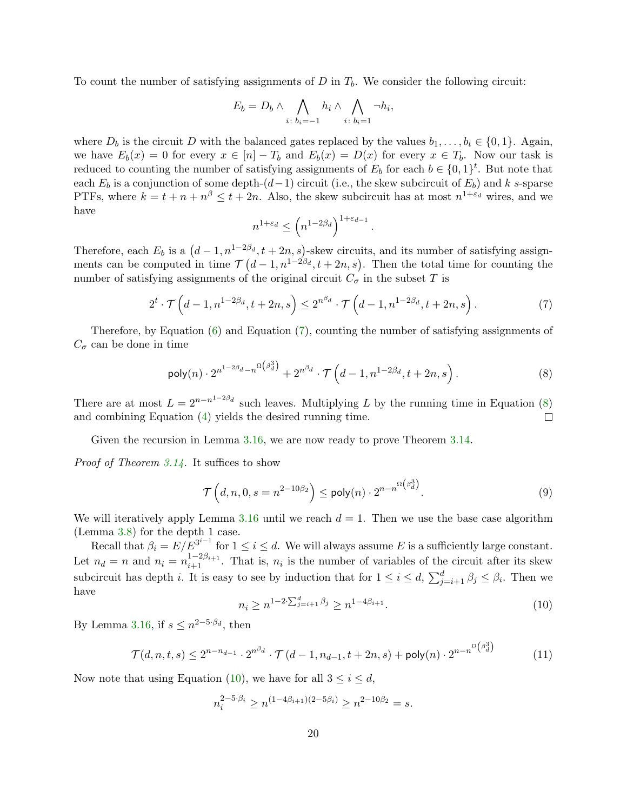To count the number of satisfying assignments of  $D$  in  $T<sub>b</sub>$ . We consider the following circuit:

$$
E_b = D_b \wedge \bigwedge_{i \colon b_i = -1} h_i \wedge \bigwedge_{i \colon b_i = 1} \neg h_i,
$$

where  $D_b$  is the circuit D with the balanced gates replaced by the values  $b_1, \ldots, b_t \in \{0, 1\}$ . Again, we have  $E_b(x) = 0$  for every  $x \in [n] - T_b$  and  $E_b(x) = D(x)$  for every  $x \in T_b$ . Now our task is reduced to counting the number of satisfying assignments of  $E_b$  for each  $b \in \{0,1\}^t$ . But note that each  $E_b$  is a conjunction of some depth-(d-1) circuit (i.e., the skew subcircuit of  $E_b$ ) and k s-sparse PTFs, where  $k = t + n + n^{\beta} \leq t + 2n$ . Also, the skew subcircuit has at most  $n^{1+\varepsilon_d}$  wires, and we have

<span id="page-20-0"></span>
$$
n^{1+\varepsilon_d}\leq \left(n^{1-2\beta_d}\right)^{1+\varepsilon_{d-1}}.
$$

Therefore, each  $E_b$  is a  $(d-1,n^{1-2\beta_d},t+2n,s)$ -skew circuits, and its number of satisfying assignments can be computed in time  $\mathcal{T}(d-1,n^{1-2\beta_d},t+2n,s)$ . Then the total time for counting the number of satisfying assignments of the original circuit  $C_{\sigma}$  in the subset T is

$$
2^{t} \cdot \mathcal{T}\left(d-1, n^{1-2\beta_d}, t+2n, s\right) \leq 2^{n^{\beta_d}} \cdot \mathcal{T}\left(d-1, n^{1-2\beta_d}, t+2n, s\right).
$$
 (7)

Therefore, by Equation  $(6)$  and Equation  $(7)$ , counting the number of satisfying assignments of  $C_{\sigma}$  can be done in time

<span id="page-20-1"></span>
$$
\mathsf{poly}(n) \cdot 2^{n^{1-2\beta_d} - n^{\Omega\left(\beta_d^3\right)}} + 2^{n^{\beta_d}} \cdot \mathcal{T}\left(d-1, n^{1-2\beta_d}, t+2n, s\right). \tag{8}
$$

There are at most  $L = 2^{n-n^{1-2\beta_d}}$  such leaves. Multiplying L by the running time in Equation [\(8\)](#page-20-1) and combining Equation [\(4\)](#page-19-2) yields the desired running time.  $\Box$ 

Given the recursion in Lemma [3.16,](#page-18-3) we are now ready to prove Theorem [3.14.](#page-18-4)

Proof of Theorem [3.14.](#page-18-4) It suffices to show

$$
\mathcal{T}\left(d,n,0,s=n^{2-10\beta_2}\right) \leq \mathsf{poly}(n) \cdot 2^{n-n^{\Omega\left(\beta_d^3\right)}}.
$$
\n(9)

We will iteratively apply Lemma [3.16](#page-18-3) until we reach  $d = 1$ . Then we use the base case algorithm (Lemma [3.8\)](#page-14-2) for the depth 1 case.

Recall that  $\beta_i = E/E^{3^{i-1}}$  for  $1 \leq i \leq d$ . We will always assume E is a sufficiently large constant. Let  $n_d = n$  and  $n_i = n_{i+1}^{1-2\beta_{i+1}}$ . That is,  $n_i$  is the number of variables of the circuit after its skew subcircuit has depth *i*. It is easy to see by induction that for  $1 \leq i \leq d$ ,  $\sum_{j=i+1}^{d} \beta_j \leq \beta_i$ . Then we have

<span id="page-20-3"></span>
$$
n_i \ge n^{1-2\sum_{j=i+1}^{d} \beta_j} \ge n^{1-4\beta_{i+1}}.\tag{10}
$$

<span id="page-20-2"></span>By Lemma [3.16,](#page-18-3) if  $s \leq n^{2-5\cdot\beta_d}$ , then

$$
\mathcal{T}(d, n, t, s) \le 2^{n - n_{d-1}} \cdot 2^{n^{\beta_d}} \cdot \mathcal{T}(d - 1, n_{d-1}, t + 2n, s) + \mathsf{poly}(n) \cdot 2^{n - n^{\Omega(\beta_d^3)}} \tag{11}
$$

Now note that using Equation [\(10\)](#page-20-2), we have for all  $3 \leq i \leq d$ ,

$$
n_i^{2-5\cdot\beta_i} \ge n^{(1-4\beta_{i+1})(2-5\beta_i)} \ge n^{2-10\beta_2} = s.
$$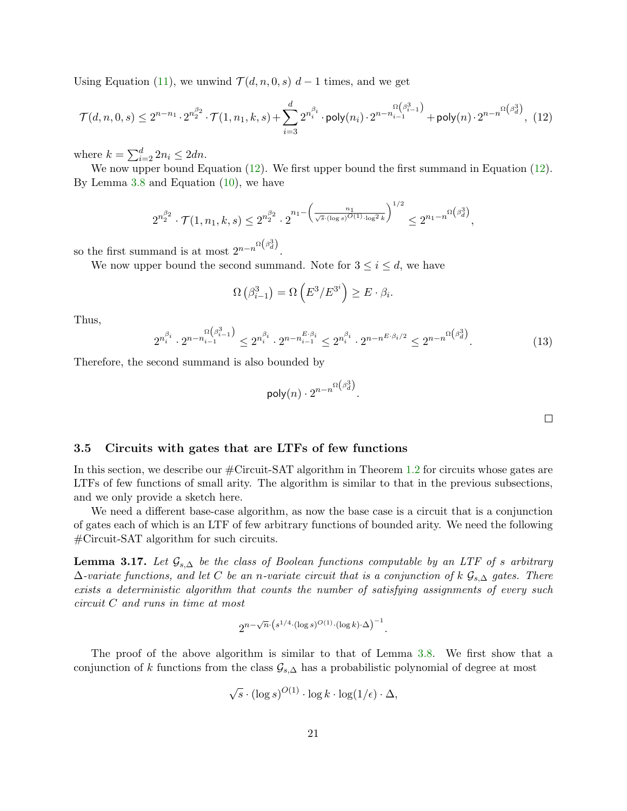Using Equation [\(11\)](#page-20-3), we unwind  $\mathcal{T}(d, n, 0, s)$  d – 1 times, and we get

$$
\mathcal{T}(d,n,0,s) \le 2^{n-n_1} \cdot 2^{n_2^{\beta_2}} \cdot \mathcal{T}(1,n_1,k,s) + \sum_{i=3}^d 2^{n_i^{\beta_i}} \cdot \mathsf{poly}(n_i) \cdot 2^{n-n_{i-1}^{\Omega\left(\beta_{i-1}^3\right)}} + \mathsf{poly}(n) \cdot 2^{n-n_{\Omega\left(\beta_{d}^3\right)}},
$$
(12)

where  $k = \sum_{i=2}^{d} 2n_i \leq 2dn$ .

We now upper bound Equation [\(12\)](#page-21-1). We first upper bound the first summand in Equation (12). By Lemma [3.8](#page-14-2) and Equation [\(10\)](#page-20-2), we have

$$
2^{n_2^{\beta_2}} \cdot \mathcal{T}(1,n_1,k,s) \le 2^{n_2^{\beta_2}} \cdot 2^{n_1 - \left(\frac{n_1}{\sqrt{s} \cdot (\log s)^{O(1)} \cdot \log^2 k}\right)^{1/2}} \le 2^{n_1 - n^{\Omega\left(\beta_d^3\right)}},
$$

so the first summand is at most  $2^{n-n^{\Omega(\beta_d^3)}}$ .

We now upper bound the second summand. Note for  $3 \leq i \leq d$ , we have

<span id="page-21-1"></span>
$$
\Omega\left(\beta_{i-1}^3\right) = \Omega\left(E^3/E^{3^i}\right) \ge E \cdot \beta_i.
$$

Thus,

$$
2^{n_i^{\beta_i}} \cdot 2^{n - n_{i-1}^{\Omega\left(\beta_{i-1}^3\right)}} \le 2^{n_i^{\beta_i}} \cdot 2^{n - n_{i-1}^{E \cdot \beta_i}} \le 2^{n_i^{\beta_i}} \cdot 2^{n - n^{E \cdot \beta_i/2}} \le 2^{n - n^{\Omega\left(\beta_d^3\right)}}. \tag{13}
$$

Therefore, the second summand is also bounded by

$$
\mathsf{poly}(n) \cdot 2^{n-n^{\Omega\left(\beta_d^3\right)}}.
$$

 $\Box$ 

#### <span id="page-21-0"></span>3.5 Circuits with gates that are LTFs of few functions

In this section, we describe our #Circuit-SAT algorithm in Theorem [1.2](#page-4-1) for circuits whose gates are LTFs of few functions of small arity. The algorithm is similar to that in the previous subsections, and we only provide a sketch here.

We need a different base-case algorithm, as now the base case is a circuit that is a conjunction of gates each of which is an LTF of few arbitrary functions of bounded arity. We need the following #Circuit-SAT algorithm for such circuits.

**Lemma 3.17.** Let  $\mathcal{G}_{s,\Delta}$  be the class of Boolean functions computable by an LTF of s arbitrary  $\Delta$ -variate functions, and let C be an n-variate circuit that is a conjunction of k  $\mathcal{G}_{s,\Delta}$  gates. There exists a deterministic algorithm that counts the number of satisfying assignments of every such circuit C and runs in time at most

$$
2^{n-\sqrt{n}\cdot \left( s^{1/4} \cdot (\log s)^{O(1)} \cdot (\log k) \cdot \Delta \right)^{-1}}.
$$

The proof of the above algorithm is similar to that of Lemma [3.8.](#page-14-2) We first show that a conjunction of k functions from the class  $\mathcal{G}_{s,\Delta}$  has a probabilistic polynomial of degree at most

$$
\sqrt{s} \cdot (\log s)^{O(1)} \cdot \log k \cdot \log(1/\epsilon) \cdot \Delta,
$$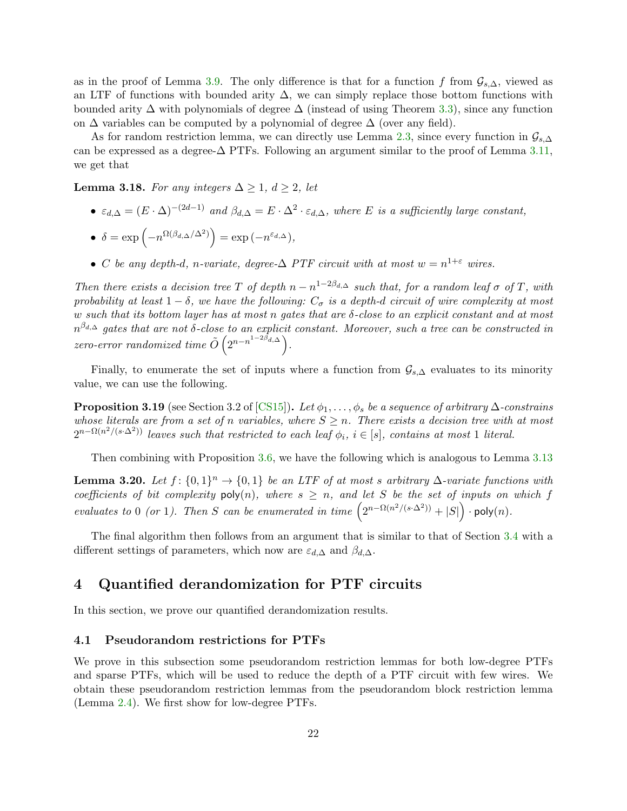<span id="page-22-3"></span>as in the proof of Lemma [3.9.](#page-14-3) The only difference is that for a function f from  $\mathcal{G}_{s,\Delta}$ , viewed as an LTF of functions with bounded arity  $\Delta$ , we can simply replace those bottom functions with bounded arity  $\Delta$  with polynomials of degree  $\Delta$  (instead of using Theorem [3.3\)](#page-13-1), since any function on  $\Delta$  variables can be computed by a polynomial of degree  $\Delta$  (over any field).

As for random restriction lemma, we can directly use Lemma [2.3,](#page-11-3) since every function in  $\mathcal{G}_{s,\Delta}$ can be expressed as a degree- $\Delta$  PTFs. Following an argument similar to the proof of Lemma [3.11,](#page-16-1) we get that

**Lemma 3.18.** For any integers  $\Delta \geq 1$ ,  $d \geq 2$ , let

- $\varepsilon_{d,\Delta} = (E \cdot \Delta)^{-(2d-1)}$  and  $\beta_{d,\Delta} = E \cdot \Delta^2 \cdot \varepsilon_{d,\Delta}$ , where E is a sufficiently large constant,
- $\delta = \exp\left(-n^{\Omega(\beta_{d,\Delta}/\Delta^2)}\right) = \exp(-n^{\varepsilon_{d,\Delta}}),$
- C be any depth-d, n-variate, degree- $\Delta$  PTF circuit with at most  $w = n^{1+\epsilon}$  wires.

Then there exists a decision tree T of depth  $n - n^{1-2\beta_{d,\Delta}}$  such that, for a random leaf  $\sigma$  of T, with probability at least  $1 - \delta$ , we have the following:  $C_{\sigma}$  is a depth-d circuit of wire complexity at most w such that its bottom layer has at most n gates that are  $\delta$ -close to an explicit constant and at most  $n^{\beta_{d,\Delta}}$  gates that are not δ-close to an explicit constant. Moreover, such a tree can be constructed in zero-error randomized time  $\tilde{O}\left(2^{n-n^{1-2\beta_{d,\Delta}}}\right)$ .

Finally, to enumerate the set of inputs where a function from  $\mathcal{G}_{s,\Delta}$  evaluates to its minority value, we can use the following.

**Proposition 3.19** (see Section 3.2 of [\[CS15\]](#page-31-5)). Let  $\phi_1, \ldots, \phi_s$  be a sequence of arbitrary  $\Delta$ -constrains whose literals are from a set of n variables, where  $S \geq n$ . There exists a decision tree with at most  $2^{n-\Omega(n^2/(s\cdot\Delta^2))}$  leaves such that restricted to each leaf  $\phi_i$ ,  $i \in [s]$ , contains at most 1 literal.

Then combining with Proposition [3.6,](#page-14-4) we have the following which is analogous to Lemma [3.13](#page-18-2)

**Lemma 3.20.** Let  $f: \{0,1\}^n \to \{0,1\}$  be an LTF of at most s arbitrary  $\Delta$ -variate functions with coefficients of bit complexity  $poly(n)$ , where  $s \geq n$ , and let S be the set of inputs on which f evaluates to 0 (or 1). Then S can be enumerated in time  $(2^{n-\Omega(n^2/(s\cdot\Delta^2))}+|S|) \cdot \text{poly}(n)$ .

The final algorithm then follows from an argument that is similar to that of Section [3.4](#page-18-1) with a different settings of parameters, which now are  $\varepsilon_{d,\Delta}$  and  $\beta_{d,\Delta}$ .

## <span id="page-22-0"></span>4 Quantified derandomization for PTF circuits

In this section, we prove our quantified derandomization results.

#### <span id="page-22-1"></span>4.1 Pseudorandom restrictions for PTFs

<span id="page-22-2"></span>We prove in this subsection some pseudorandom restriction lemmas for both low-degree PTFs and sparse PTFs, which will be used to reduce the depth of a PTF circuit with few wires. We obtain these pseudorandom restriction lemmas from the pseudorandom block restriction lemma (Lemma [2.4\)](#page-12-1). We first show for low-degree PTFs.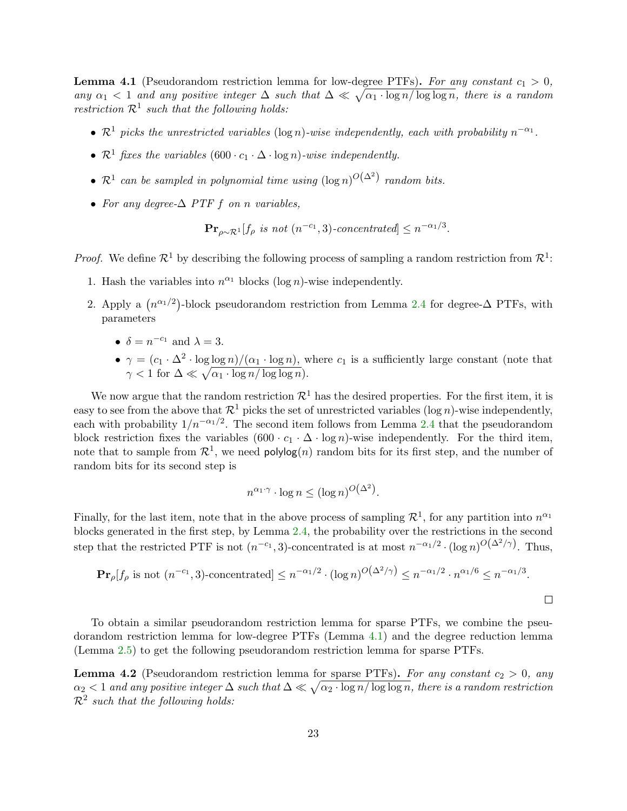**Lemma 4.1** (Pseudorandom restriction lemma for low-degree PTFs). For any constant  $c_1 > 0$ , any  $\alpha_1$  < 1 and any positive integer  $\Delta$  such that  $\Delta \ll \sqrt{\alpha_1 \cdot \log n / \log \log n}$ , there is a random restriction  $\mathcal{R}^1$  such that the following holds:

- $\mathcal{R}^1$  picks the unrestricted variables (log n)-wise independently, each with probability  $n^{-\alpha_1}$ .
- $\mathcal{R}^1$  fixes the variables  $(600 \cdot c_1 \cdot \Delta \cdot \log n)$ -wise independently.
- $\mathcal{R}^1$  can be sampled in polynomial time using  $(\log n)^{O(\Delta^2)}$  random bits.
- For any degree- $\Delta$  PTF f on n variables,

$$
\mathbf{Pr}_{\rho \sim \mathcal{R}^1}[f_{\rho} \text{ is not } (n^{-c_1}, 3)\text{-concentrated}] \le n^{-\alpha_1/3}.
$$

*Proof.* We define  $\mathcal{R}^1$  by describing the following process of sampling a random restriction from  $\mathcal{R}^1$ :

- 1. Hash the variables into  $n^{\alpha_1}$  blocks (log n)-wise independently.
- 2. Apply a  $(n^{\alpha_1/2})$ -block pseudorandom restriction from Lemma [2.4](#page-12-1) for degree- $\Delta$  PTFs, with parameters
	- $\delta = n^{-c_1}$  and  $\lambda = 3$ .
	- $\gamma = (c_1 \cdot \Delta^2 \cdot \log \log n)/(\alpha_1 \cdot \log n)$ , where  $c_1$  is a sufficiently large constant (note that  $\gamma < 1$  for  $\Delta \ll \sqrt{\alpha_1 \cdot \log n / \log \log n}$ .

We now argue that the random restriction  $\mathcal{R}^1$  has the desired properties. For the first item, it is easy to see from the above that  $\mathcal{R}^1$  picks the set of unrestricted variables (log n)-wise independently, each with probability  $1/n^{-\alpha_1/2}$ . The second item follows from Lemma [2.4](#page-12-1) that the pseudorandom block restriction fixes the variables  $(600 \cdot c_1 \cdot \Delta \cdot \log n)$ -wise independently. For the third item, note that to sample from  $\mathcal{R}^1$ , we need polylog(n) random bits for its first step, and the number of random bits for its second step is

$$
n^{\alpha_1 \cdot \gamma} \cdot \log n \le (\log n)^{O(\Delta^2)}.
$$

Finally, for the last item, note that in the above process of sampling  $\mathcal{R}^1$ , for any partition into  $n^{\alpha_1}$ blocks generated in the first step, by Lemma [2.4,](#page-12-1) the probability over the restrictions in the second step that the restricted PTF is not  $(n^{-c_1}, 3)$ -concentrated is at most  $n^{-\alpha_1/2} \cdot (\log n)^{O(\Delta^2/\gamma)}$ . Thus,

$$
\mathbf{Pr}_{\rho}[f_{\rho} \text{ is not } (n^{-c_1}, 3)\text{-concentrated}] \le n^{-\alpha_1/2} \cdot (\log n)^{O(\Delta^2/\gamma)} \le n^{-\alpha_1/2} \cdot n^{\alpha_1/6} \le n^{-\alpha_1/3}.
$$

To obtain a similar pseudorandom restriction lemma for sparse PTFs, we combine the pseudorandom restriction lemma for low-degree PTFs (Lemma [4.1\)](#page-22-2) and the degree reduction lemma (Lemma [2.5\)](#page-12-0) to get the following pseudorandom restriction lemma for sparse PTFs.

<span id="page-23-0"></span>**Lemma 4.2** (Pseudorandom restriction lemma for sparse PTFs). For any constant  $c_2 > 0$ , any  $\alpha_2 < 1$  and any positive integer  $\Delta$  such that  $\Delta \ll \sqrt{\alpha_2 \cdot \log n/\log \log n}$ , there is a random restriction  $\mathcal{R}^2$  such that the following holds: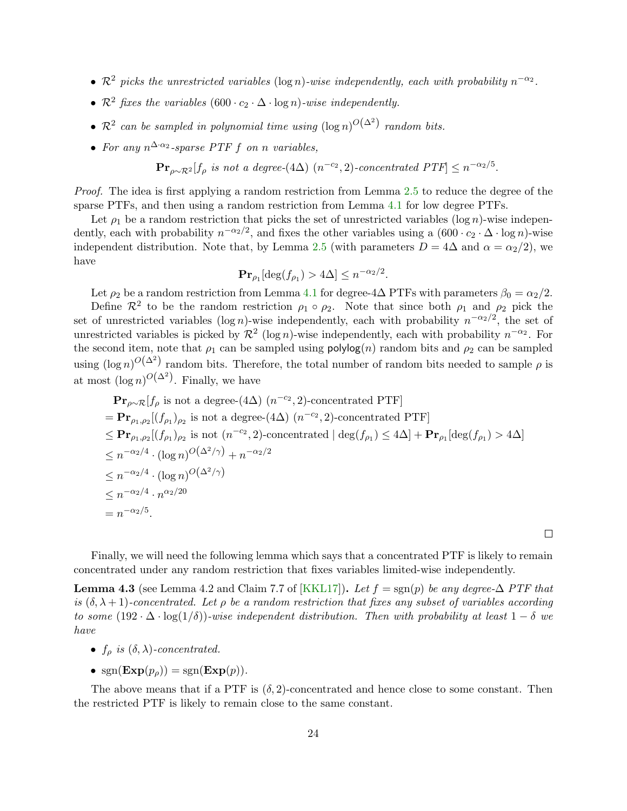- <span id="page-24-1"></span>•  $\mathcal{R}^2$  picks the unrestricted variables (log n)-wise independently, each with probability  $n^{-\alpha_2}$ .
- $\mathcal{R}^2$  fixes the variables  $(600 \cdot c_2 \cdot \Delta \cdot \log n)$ -wise independently.
- $\mathcal{R}^2$  can be sampled in polynomial time using  $(\log n)^{O(\Delta^2)}$  random bits.
- For any  $n^{\Delta \cdot \alpha_2}$ -sparse PTF f on n variables,

 $\mathbf{Pr}_{\rho \sim \mathcal{R}^2}[f_{\rho}$ is not a degree-(4\Delta) (n^{-c_2},2)\text{-concentrated PTF}] \leq n^{-\alpha_2/5}.$ 

Proof. The idea is first applying a random restriction from Lemma [2.5](#page-12-0) to reduce the degree of the sparse PTFs, and then using a random restriction from Lemma [4.1](#page-22-2) for low degree PTFs.

Let  $\rho_1$  be a random restriction that picks the set of unrestricted variables (log n)-wise independently, each with probability  $n^{-\alpha_2/2}$ , and fixes the other variables using a  $(600 \cdot c_2 \cdot \Delta \cdot \log n)$ -wise independent distribution. Note that, by Lemma [2.5](#page-12-0) (with parameters  $D = 4\Delta$  and  $\alpha = \alpha_2/2$ ), we have

$$
\mathbf{Pr}_{\rho_1}[\deg(f_{\rho_1}) > 4\Delta] \le n^{-\alpha_2/2}.
$$

Let  $\rho_2$  be a random restriction from Lemma [4.1](#page-22-2) for degree-4∆ PTFs with parameters  $\beta_0 = \alpha_2/2$ .

Define  $\mathcal{R}^2$  to be the random restriction  $\rho_1 \circ \rho_2$ . Note that since both  $\rho_1$  and  $\rho_2$  pick the set of unrestricted variables (log n)-wise independently, each with probability  $n^{-\alpha_2/2}$ , the set of unrestricted variables is picked by  $\mathcal{R}^2$  (log n)-wise independently, each with probability  $n^{-\alpha_2}$ . For the second item, note that  $\rho_1$  can be sampled using polylog(n) random bits and  $\rho_2$  can be sampled using  $(\log n)^{O(\Delta^2)}$  random bits. Therefore, the total number of random bits needed to sample  $\rho$  is at most  $(\log n)^{O(\Delta^2)}$ . Finally, we have

$$
\begin{aligned}\n&\mathbf{Pr}_{\rho\sim\mathcal{R}}[f_{\rho} \text{ is not a degree-}(4\Delta) \ (n^{-c_2}, 2)\text{-concentrated PTF}] \\
&=\mathbf{Pr}_{\rho_1,\rho_2}[(f_{\rho_1})_{\rho_2} \text{ is not a degree-}(4\Delta) \ (n^{-c_2}, 2)\text{-concentrated PTF}] \\
&\leq \mathbf{Pr}_{\rho_1,\rho_2}[(f_{\rho_1})_{\rho_2} \text{ is not } (n^{-c_2}, 2)\text{-concentrated }|\deg(f_{\rho_1}) \leq 4\Delta] + \mathbf{Pr}_{\rho_1}[\deg(f_{\rho_1}) > 4\Delta] \\
&\leq n^{-\alpha_2/4} \cdot (\log n)^{O(\Delta^2/\gamma)} + n^{-\alpha_2/2} \\
&\leq n^{-\alpha_2/4} \cdot (\log n)^{O(\Delta^2/\gamma)} \\
&\leq n^{-\alpha_2/4} \cdot n^{\alpha_2/20} \\
&= n^{-\alpha_2/5}.\n\end{aligned}
$$

Finally, we will need the following lemma which says that a concentrated PTF is likely to remain concentrated under any random restriction that fixes variables limited-wise independently.

 $\Box$ 

<span id="page-24-0"></span>**Lemma 4.3** (see Lemma 4.2 and Claim 7.7 of [\[KKL17\]](#page-31-4)). Let  $f = \text{sgn}(p)$  be any degree- $\Delta$  PTF that is  $(\delta, \lambda + 1)$ -concentrated. Let  $\rho$  be a random restriction that fixes any subset of variables according to some  $(192 \cdot \Delta \cdot \log(1/\delta))$ -wise independent distribution. Then with probability at least  $1 - \delta$  we have

- $f_{\rho}$  is  $(\delta, \lambda)$ -concentrated.
- $sgn(\mathbf{Exp}(p_{\rho})) = sgn(\mathbf{Exp}(p)).$

The above means that if a PTF is  $(\delta, 2)$ -concentrated and hence close to some constant. Then the restricted PTF is likely to remain close to the same constant.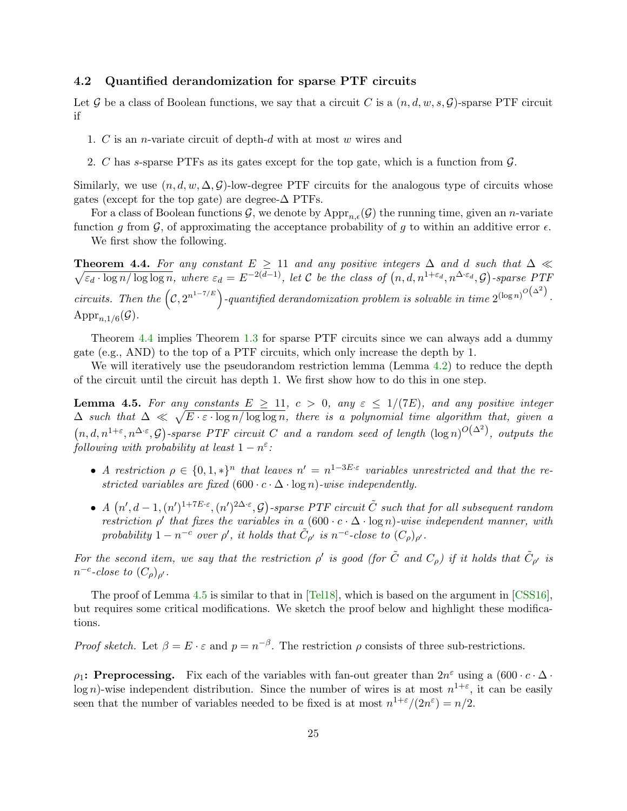#### <span id="page-25-3"></span><span id="page-25-0"></span>4.2 Quantified derandomization for sparse PTF circuits

Let G be a class of Boolean functions, we say that a circuit C is a  $(n, d, w, s, \mathcal{G})$ -sparse PTF circuit if

- 1. C is an n-variate circuit of depth-d with at most w wires and
- 2. C has s-sparse PTFs as its gates except for the top gate, which is a function from  $\mathcal{G}$ .

Similarly, we use  $(n, d, w, \Delta, \mathcal{G})$ -low-degree PTF circuits for the analogous type of circuits whose gates (except for the top gate) are degree- $\Delta$  PTFs.

For a class of Boolean functions G, we denote by  $\mathrm{Appr}_{n,\epsilon}(\mathcal{G})$  the running time, given an n-variate function g from  $\mathcal{G}$ , of approximating the acceptance probability of g to within an additive error  $\epsilon$ .

We first show the following.

<span id="page-25-1"></span>**Theorem 4.4.** For any constant  $E \ge 11$  and any positive integers  $\Delta$  and d such that  $\Delta \ll$  $\sqrt{\varepsilon_d \cdot \log n / \log \log n}$ , where  $\varepsilon_d = E^{-2(d-1)}$ , let C be the class of  $(n, d, n^{1+\varepsilon_d}, n^{\Delta \cdot \varepsilon_d}, \mathcal{G})$ -sparse PTF circuits. Then the  $(c, 2^{n^{1-7/E}})$ -quantified derandomization problem is solvable in time  $2^{(\log n)^{O(\Delta^2)}}$ . App $r_{n,1/6}(\mathcal{G})$ .

Theorem [4.4](#page-25-1) implies Theorem [1.3](#page-5-2) for sparse PTF circuits since we can always add a dummy gate (e.g., AND) to the top of a PTF circuits, which only increase the depth by 1.

We will iteratively use the pseudorandom restriction lemma (Lemma [4.2\)](#page-23-0) to reduce the depth of the circuit until the circuit has depth 1. We first show how to do this in one step.

<span id="page-25-2"></span>**Lemma 4.5.** For any constants  $E \ge 11$ ,  $c > 0$ , any  $\varepsilon \le 1/(7E)$ , and any positive integer  $\Delta$  such that  $\Delta \ll \sqrt{E \cdot \varepsilon \cdot \log n / \log \log n}$ , there is a polynomial time algorithm that, given a  $(n, d, n^{1+\varepsilon}, n^{\Delta \cdot \varepsilon}, \mathcal{G})$ -sparse PTF circuit C and a random seed of length  $(\log n)^{O(\Delta^2)}$ , outputs the following with probability at least  $1-n^{\varepsilon}$ :

- A restriction  $\rho \in \{0,1,*\}^n$  that leaves  $n' = n^{1-3E \cdot \varepsilon}$  variables unrestricted and that the restricted variables are fixed  $(600 \cdot c \cdot \Delta \cdot \log n)$ -wise independently.
- A  $(n', d-1, (n')^{1+7E\cdot\varepsilon}, (n')^{2\Delta\cdot\varepsilon}, \mathcal{G})$ -sparse PTF circuit  $\tilde{C}$  such that for all subsequent random restriction  $\rho'$  that fixes the variables in a  $(600 \cdot c \cdot \Delta \cdot \log n)$ -wise independent manner, with probability  $1 - n^{-c}$  over  $\rho'$ , it holds that  $\tilde{C}_{\rho'}$  is  $n^{-c}$ -close to  $(C_{\rho})_{\rho'}$ .

For the second item, we say that the restriction  $\rho'$  is good (for  $\tilde{C}$  and  $C_{\rho}$ ) if it holds that  $\tilde{C}_{\rho'}$  is  $n^{-c}$ -close to  $(C_{\rho})_{\rho'}$ .

The proof of Lemma [4.5](#page-25-2) is similar to that in [\[Tel18\]](#page--1-3), which is based on the argument in [\[CSS16\]](#page-31-3), but requires some critical modifications. We sketch the proof below and highlight these modifications.

*Proof sketch.* Let  $\beta = E \cdot \varepsilon$  and  $p = n^{-\beta}$ . The restriction  $\rho$  consists of three sub-restrictions.

 $\rho_1$ : Preprocessing. Fix each of the variables with fan-out greater than  $2n^{\varepsilon}$  using a  $(600 \cdot c \cdot \Delta \cdot$  $\log n$ )-wise independent distribution. Since the number of wires is at most  $n^{1+\epsilon}$ , it can be easily seen that the number of variables needed to be fixed is at most  $n^{1+\epsilon}/(2n^{\epsilon}) = n/2$ .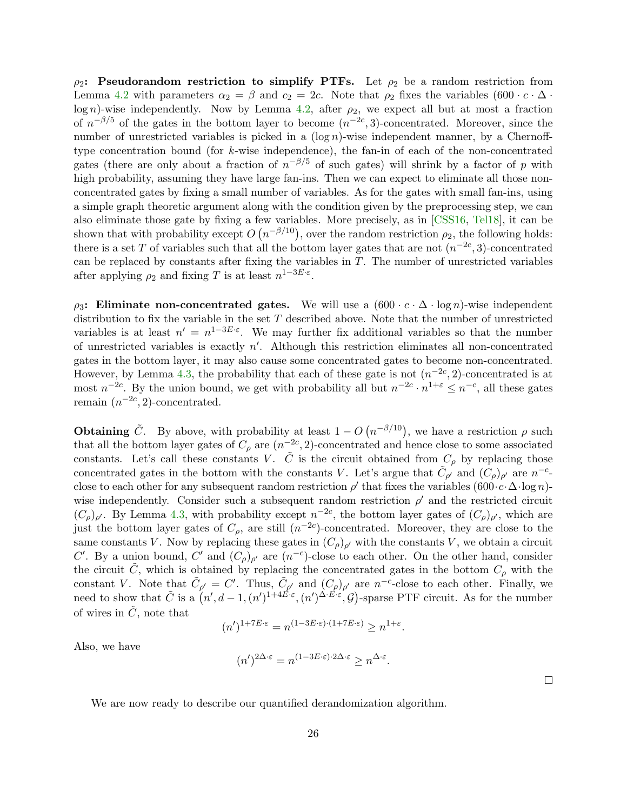<span id="page-26-0"></span> $\rho_2$ : Pseudorandom restriction to simplify PTFs. Let  $\rho_2$  be a random restriction from Lemma [4.2](#page-23-0) with parameters  $\alpha_2 = \beta$  and  $c_2 = 2c$ . Note that  $\rho_2$  fixes the variables  $(600 \cdot c \cdot \Delta \cdot$ log n)-wise independently. Now by Lemma [4.2,](#page-23-0) after  $\rho_2$ , we expect all but at most a fraction of  $n^{-\beta/5}$  of the gates in the bottom layer to become  $(n^{-2c}, 3)$ -concentrated. Moreover, since the number of unrestricted variables is picked in a  $(\log n)$ -wise independent manner, by a Chernofftype concentration bound (for k-wise independence), the fan-in of each of the non-concentrated gates (there are only about a fraction of  $n^{-\beta/5}$  of such gates) will shrink by a factor of p with high probability, assuming they have large fan-ins. Then we can expect to eliminate all those nonconcentrated gates by fixing a small number of variables. As for the gates with small fan-ins, using a simple graph theoretic argument along with the condition given by the preprocessing step, we can also eliminate those gate by fixing a few variables. More precisely, as in [\[CSS16,](#page-31-3) [Tel18\]](#page--1-3), it can be shown that with probability except  $O(n^{-\beta/10})$ , over the random restriction  $\rho_2$ , the following holds: there is a set T of variables such that all the bottom layer gates that are not  $(n^{-2c}, 3)$ -concentrated can be replaced by constants after fixing the variables in  $T$ . The number of unrestricted variables after applying  $\rho_2$  and fixing T is at least  $n^{1-3E\cdot\varepsilon}$ .

 $\rho_3$ : Eliminate non-concentrated gates. We will use a  $(600 \cdot c \cdot \Delta \cdot \log n)$ -wise independent distribution to fix the variable in the set  $T$  described above. Note that the number of unrestricted variables is at least  $n' = n^{1-3E \cdot \varepsilon}$ . We may further fix additional variables so that the number of unrestricted variables is exactly  $n'$ . Although this restriction eliminates all non-concentrated gates in the bottom layer, it may also cause some concentrated gates to become non-concentrated. However, by Lemma [4.3,](#page-24-0) the probability that each of these gate is not  $(n^{-2c}, 2)$ -concentrated is at most  $n^{-2c}$ . By the union bound, we get with probability all but  $n^{-2c} \cdot n^{1+\epsilon} \leq n^{-c}$ , all these gates remain  $(n^{-2c}, 2)$ -concentrated.

**Obtaining**  $\tilde{C}$ . By above, with probability at least  $1 - O(n^{-\beta/10})$ , we have a restriction  $\rho$  such that all the bottom layer gates of  $C_\rho$  are  $(n^{-2c}, 2)$ -concentrated and hence close to some associated constants. Let's call these constants V.  $\tilde{C}$  is the circuit obtained from  $C_{\rho}$  by replacing those concentrated gates in the bottom with the constants V. Let's argue that  $\tilde{C}_{\rho'}$  and  $(C_{\rho})_{\rho'}$  are  $n^{-c}$ . close to each other for any subsequent random restriction  $\rho'$  that fixes the variables  $(600 \cdot c \cdot \Delta \cdot \log n)$ wise independently. Consider such a subsequent random restriction  $\rho'$  and the restricted circuit  $(C_{\rho})_{\rho'}$ . By Lemma [4.3,](#page-24-0) with probability except  $n^{-2c}$ , the bottom layer gates of  $(C_{\rho})_{\rho'}$ , which are just the bottom layer gates of  $C_{\rho}$ , are still  $(n^{-2c})$ -concentrated. Moreover, they are close to the same constants V. Now by replacing these gates in  $(C_{\rho})_{\rho'}$  with the constants V, we obtain a circuit C'. By a union bound, C' and  $(C_{\rho})_{\rho'}$  are  $(n^{-c})$ -close to each other. On the other hand, consider the circuit  $\tilde{C}$ , which is obtained by replacing the concentrated gates in the bottom  $C_{\rho}$  with the constant V. Note that  $\tilde{C}_{\rho'} = C'$ . Thus,  $\tilde{C}_{\rho'}$  and  $(C_{\rho})_{\rho'}$  are  $n^{-c}$ -close to each other. Finally, we need to show that  $\tilde{C}$  is a  $(n', d-1, (n')^{1+4\vec{E}\cdot\varepsilon}, (n')^{\Delta \cdot \vec{E}\cdot\varepsilon}, \mathcal{G})$ -sparse PTF circuit. As for the number of wires in  $\tilde{C}$ , note that

$$
(n')^{1+7E\cdot\varepsilon} = n^{(1-3E\cdot\varepsilon)\cdot(1+7E\cdot\varepsilon)} \ge n^{1+\varepsilon}.
$$

Also, we have

$$
(n')^{2\Delta \cdot \varepsilon} = n^{(1-3E \cdot \varepsilon) \cdot 2\Delta \cdot \varepsilon} \ge n^{\Delta \cdot \varepsilon}.
$$

We are now ready to describe our quantified derandomization algorithm.

 $\Box$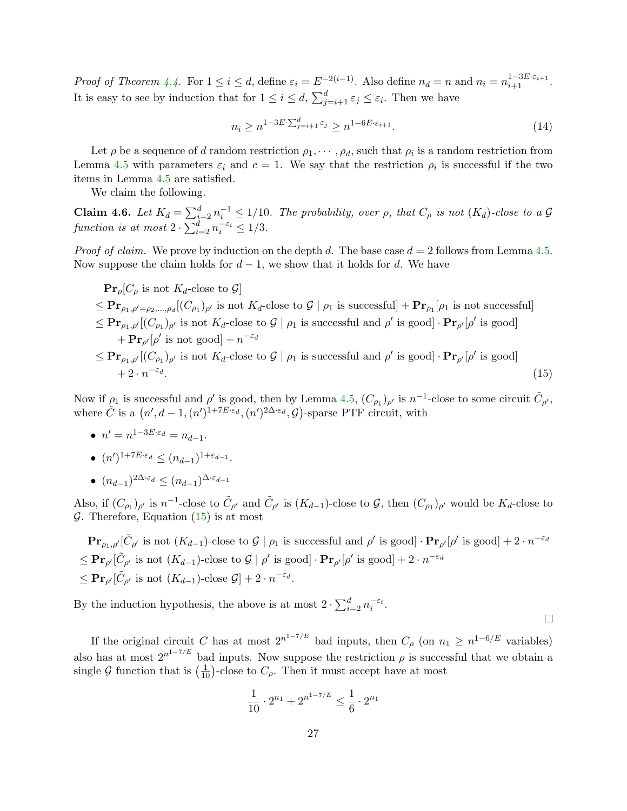Proof of Theorem [4.4.](#page-25-1) For  $1 \le i \le d$ , define  $\varepsilon_i = E^{-2(i-1)}$ . Also define  $n_d = n$  and  $n_i = n_{i+1}^{1-3E \cdot \varepsilon_{i+1}}$ . It is easy to see by induction that for  $1 \leq i \leq d$ ,  $\sum_{j=i+1}^{d} \varepsilon_j \leq \varepsilon_i$ . Then we have

$$
n_i \ge n^{1-3E \cdot \sum_{j=i+1}^d \varepsilon_j} \ge n^{1-6E \cdot \varepsilon_{i+1}}.\tag{14}
$$

Let  $\rho$  be a sequence of d random restriction  $\rho_1, \cdots, \rho_d$ , such that  $\rho_i$  is a random restriction from Lemma [4.5](#page-25-2) with parameters  $\varepsilon_i$  and  $c = 1$ . We say that the restriction  $\rho_i$  is successful if the two items in Lemma [4.5](#page-25-2) are satisfied.

We claim the following.

<span id="page-27-0"></span>**Claim 4.6.** Let  $K_d = \sum_{i=2}^d n_i^{-1} \leq 1/10$ . The probability, over  $\rho$ , that  $C_\rho$  is not  $(K_d)$ -close to a G function is at most  $2 \cdot \sum_{i=2}^{d} n_i^{-\varepsilon_i} \leq 1/3$ .

*Proof of claim.* We prove by induction on the depth d. The base case  $d = 2$  follows from Lemma [4.5.](#page-25-2) Now suppose the claim holds for  $d-1$ , we show that it holds for d. We have

 $\Pr_{\rho}[C_{\rho}$ is not K_d\textrm{-close to } \mathcal{G}]$ 

 $\leq \mathbf{Pr}_{\rho_1,\rho'= \rho_2,\dots,\rho_d}[(C_{\rho_1})_{\rho'}]$  is not  $K_d$ -close to  $\mathcal{G} | \rho_1$  is successfull  $\mathbf{Pr}_{\rho_1}[\rho_1]$  is not successfull  $\leq \mathbf{Pr}_{\rho_1,\rho'}[(C_{\rho_1})_{\rho'}]$  is not  $K_d$ -close to  $\mathcal{G} \mid \rho_1$  is successful and  $\rho'$  is good]  $\cdot \mathbf{Pr}_{\rho'}[\rho']$  is good]  $+ \mathbf{Pr}_{\rho'}[\rho' \text{ is not good}] + n^{-\varepsilon_d}$  $\leq \mathbf{Pr}_{\rho_1,\rho'}[(C_{\rho_1})_{\rho'}]$  is not  $K_d$ -close to  $\mathcal{G} \mid \rho_1$  is successful and  $\rho'$  is good]  $\cdot \mathbf{Pr}_{\rho'}[\rho']$  is good]

$$
\leq \mathbf{Pr}_{\rho_1, \rho' \mid (C_{\rho_1})_{\rho'}} \text{ is not } \mathbf{A}_d\text{-close to } \mathcal{G} \mid \rho_1 \text{ is successful and } \rho \text{ is good} \cdot \mathbf{Pr}_{\rho'}[\rho \text{ is good}] \\
+ 2 \cdot n^{-\varepsilon_d}.\n\tag{15}
$$

Now if  $\rho_1$  is successful and  $\rho'$  is good, then by Lemma [4.5,](#page-25-2)  $(C_{\rho_1})_{\rho'}$  is  $n^{-1}$ -close to some circuit  $\tilde{C}_{\rho'}$ , where  $\tilde{C}$  is a  $(n', d-1, (n')^{1+7E \cdot \varepsilon_d}, (n')^{2\Delta \cdot \varepsilon_d}, \mathcal{G})$ -sparse PTF circuit, with

- $n' = n^{1-3E \cdot \varepsilon_d} = n_{d-1}.$
- $(n')^{1+7E \cdot \varepsilon_d} \leq (n_{d-1})^{1+\varepsilon_{d-1}}.$
- $\bullet$   $(n_{d-1})^{2\Delta \cdot \varepsilon_d} \leq (n_{d-1})^{\Delta \cdot \varepsilon_{d-1}}$

Also, if  $(C_{\rho_1})_{\rho'}$  is  $n^{-1}$ -close to  $\tilde{C}_{\rho'}$  and  $\tilde{C}_{\rho'}$  is  $(K_{d-1})$ -close to G, then  $(C_{\rho_1})_{\rho'}$  would be  $K_d$ -close to  $\mathcal G$ . Therefore, Equation [\(15\)](#page-27-0) is at most

 $\mathbf{Pr}_{\rho_1,\rho'}[\tilde{C}_{\rho'}]$  is not  $(K_{d-1})$ -close to  $\mathcal{G} \mid \rho_1$  is successful and  $\rho'$  is good]  $\cdot \mathbf{Pr}_{\rho'}[\rho'$  is good] +  $2 \cdot n^{-\varepsilon_d}$  $\leq \mathbf{Pr}_{\rho'}[\tilde{C}_{\rho'}\text{ is not } (K_{d-1})\text{-close to }\mathcal{G}\mid \rho'\text{ is good}] \cdot \mathbf{Pr}_{\rho'}[\rho'\text{ is good}] + 2\cdot n^{-\varepsilon_d}$  $\leq \mathbf{Pr}_{\rho}[\tilde{C}_{\rho'} \text{ is not } (K_{d-1})\text{-close } \mathcal{G}] + 2 \cdot n^{-\varepsilon_d}.$ 

By the induction hypothesis, the above is at most  $2 \cdot \sum_{i=2}^{d} n_i^{-\varepsilon_i}$ .

If the original circuit C has at most  $2^{n^{1-7/E}}$  bad inputs, then  $C_{\rho}$  (on  $n_1 \geq n^{1-6/E}$  variables) also has at most  $2^{n^{1-7/E}}$  bad inputs. Now suppose the restriction  $\rho$  is successful that we obtain a single G function that is  $\left(\frac{1}{10}\right)$ -close to  $C_{\rho}$ . Then it must accept have at most

$$
\frac{1}{10} \cdot 2^{n_1} + 2^{n^{1-7/E}} \le \frac{1}{6} \cdot 2^{n_1}
$$

 $\Box$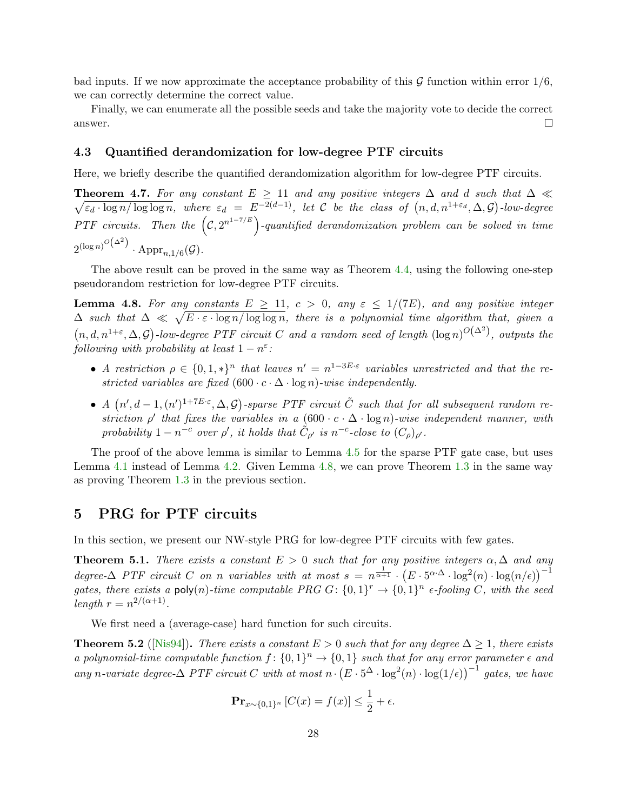bad inputs. If we now approximate the acceptance probability of this  $\mathcal G$  function within error  $1/6$ , we can correctly determine the correct value.

Finally, we can enumerate all the possible seeds and take the majority vote to decide the correct answer.  $\Box$ 

#### <span id="page-28-0"></span>4.3 Quantified derandomization for low-degree PTF circuits

Here, we briefly describe the quantified derandomization algorithm for low-degree PTF circuits.

**Theorem 4.7.** For any constant  $E \ge 11$  and any positive integers  $\Delta$  and d such that  $\Delta \ll$  $\sqrt{\varepsilon_d \cdot \log n / \log \log n}$ , where  $\varepsilon_d = E^{-2(d-1)}$ , let C be the class of  $(n, d, n^{1+\varepsilon_d}, \Delta, \mathcal{G})$ -low-degree PTF circuits. Then the  $(C, 2^{n^{1-7/E}})$ -quantified derandomization problem can be solved in time  $2^{(\log n)^{O\left(\Delta^2\right)}}\cdot \mathrm{Appr}_{n,1/6}(\mathcal{G}).$ 

The above result can be proved in the same way as Theorem [4.4,](#page-25-1) using the following one-step pseudorandom restriction for low-degree PTF circuits.

<span id="page-28-2"></span>**Lemma 4.8.** For any constants  $E \geq 11$ ,  $c > 0$ , any  $\varepsilon \leq 1/(7E)$ , and any positive integer  $\Delta$  such that  $\Delta \ll \sqrt{E \cdot \varepsilon \cdot \log n / \log \log n}$ , there is a polynomial time algorithm that, given a  $(n, d, n^{1+\varepsilon}, \Delta, \mathcal{G})$ -low-degree PTF circuit C and a random seed of length  $(\log n)^{O(\Delta^2)}$ , outputs the following with probability at least  $1-n^{\varepsilon}$ :

- A restriction  $\rho \in \{0,1,*\}^n$  that leaves  $n' = n^{1-3E \cdot \varepsilon}$  variables unrestricted and that the restricted variables are fixed  $(600 \cdot c \cdot \Delta \cdot \log n)$ -wise independently.
- A  $(n', d-1, (n')^{1+7E \cdot \varepsilon}, \Delta, \mathcal{G})$ -sparse PTF circuit  $\tilde{C}$  such that for all subsequent random restriction  $\rho'$  that fixes the variables in a  $(600 \cdot c \cdot \Delta \cdot \log n)$ -wise independent manner, with probability  $1-n^{-c}$  over  $\rho'$ , it holds that  $\tilde{C}_{\rho'}$  is  $n^{-c}$ -close to  $(C_{\rho})_{\rho'}$ .

The proof of the above lemma is similar to Lemma [4.5](#page-25-2) for the sparse PTF gate case, but uses Lemma [4.1](#page-22-2) instead of Lemma [4.2.](#page-23-0) Given Lemma [4.8,](#page-28-2) we can prove Theorem [1.3](#page-5-2) in the same way as proving Theorem [1.3](#page-5-2) in the previous section.

## <span id="page-28-1"></span>5 PRG for PTF circuits

In this section, we present our NW-style PRG for low-degree PTF circuits with few gates.

<span id="page-28-4"></span>**Theorem 5.1.** There exists a constant  $E > 0$  such that for any positive integers  $\alpha, \Delta$  and any degree- $\Delta$  PTF circuit C on n variables with at most  $s = n^{\frac{1}{\alpha+1}} \cdot (E \cdot 5^{\alpha \cdot \Delta} \cdot \log^2(n) \cdot \log(n/\epsilon))^{-1}$ gates, there exists a poly(n)-time computable PRG  $G: \{0,1\}^r \to \{0,1\}^n$  e-fooling C, with the seed length  $r = n^{2/(\alpha+1)}$ .

We first need a (average-case) hard function for such circuits.

<span id="page-28-3"></span>**Theorem 5.2** ([\[Nis94\]](#page--1-7)). There exists a constant  $E > 0$  such that for any degree  $\Delta > 1$ , there exists a polynomial-time computable function  $f: \{0,1\}^n \to \{0,1\}$  such that for any error parameter  $\epsilon$  and any n-variate degree- $\Delta$  PTF circuit C with at most  $n \cdot (E \cdot 5^{\Delta} \cdot \log^2(n) \cdot \log(1/\epsilon))^{-1}$  gates, we have

$$
\mathbf{Pr}_{x \sim \{0,1\}^n} \left[ C(x) = f(x) \right] \le \frac{1}{2} + \epsilon.
$$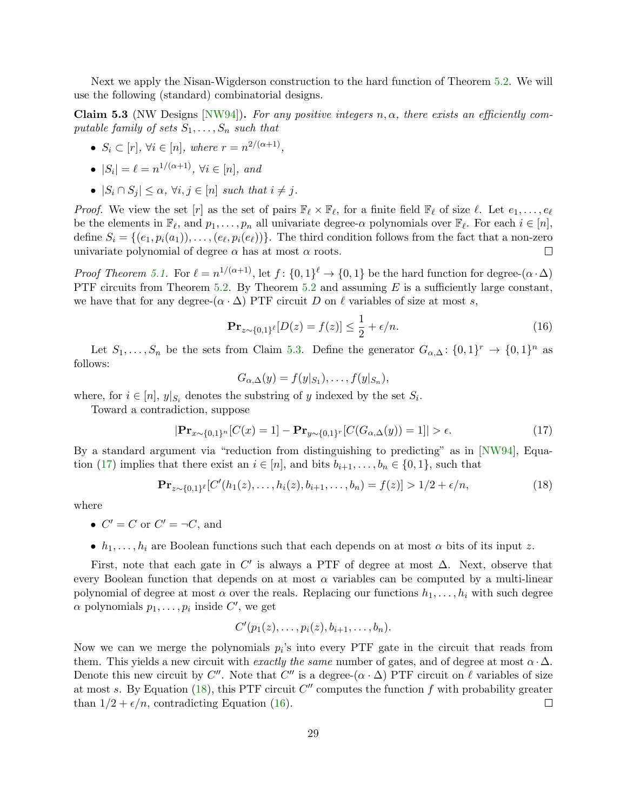Next we apply the Nisan-Wigderson construction to the hard function of Theorem [5.2.](#page-28-3) We will use the following (standard) combinatorial designs.

<span id="page-29-0"></span>Claim 5.3 (NW Designs [\[NW94\]](#page--1-6)). For any positive integers  $n, \alpha$ , there exists an efficiently computable family of sets  $S_1, \ldots, S_n$  such that

•  $S_i \subset [r], \forall i \in [n], \text{ where } r = n^{2/(\alpha+1)},$ 

• 
$$
|S_i| = \ell = n^{1/(\alpha+1)}
$$
,  $\forall i \in [n]$ , and

•  $|S_i \cap S_j| \leq \alpha$ ,  $\forall i, j \in [n]$  such that  $i \neq j$ .

*Proof.* We view the set  $[r]$  as the set of pairs  $\mathbb{F}_{\ell} \times \mathbb{F}_{\ell}$ , for a finite field  $\mathbb{F}_{\ell}$  of size  $\ell$ . Let  $e_1, \ldots, e_{\ell}$ be the elements in  $\mathbb{F}_{\ell}$ , and  $p_1, \ldots, p_n$  all univariate degree- $\alpha$  polynomials over  $\mathbb{F}_{\ell}$ . For each  $i \in [n]$ , define  $S_i = \{(e_1, p_i(a_1)), \ldots, (e_\ell, p_i(e_\ell))\}$ . The third condition follows from the fact that a non-zero univariate polynomial of degree  $\alpha$  has at most  $\alpha$  roots.  $\Box$ 

*Proof Theorem [5.1.](#page-28-4)* For  $\ell = n^{1/(\alpha+1)}$ , let  $f: \{0,1\}^{\ell} \to \{0,1\}$  be the hard function for degree- $(\alpha \cdot \Delta)$ PTF circuits from Theorem [5.2.](#page-28-3) By Theorem [5.2](#page-28-3) and assuming  $E$  is a sufficiently large constant, we have that for any degree- $(\alpha \cdot \Delta)$  PTF circuit D on  $\ell$  variables of size at most s,

<span id="page-29-3"></span>
$$
\mathbf{Pr}_{z \sim \{0,1\}^\ell} [D(z) = f(z)] \le \frac{1}{2} + \epsilon/n. \tag{16}
$$

Let  $S_1, \ldots, S_n$  be the sets from Claim [5.3.](#page-29-0) Define the generator  $G_{\alpha,\Delta}$ :  $\{0,1\}^r \to \{0,1\}^n$  as follows:

<span id="page-29-2"></span><span id="page-29-1"></span>
$$
G_{\alpha,\Delta}(y) = f(y|_{S_1}), \ldots, f(y|_{S_n}),
$$

where, for  $i \in [n]$ ,  $y|_{S_i}$  denotes the substring of y indexed by the set  $S_i$ .

Toward a contradiction, suppose

$$
|\mathbf{Pr}_{x \sim \{0,1\}^n}[C(x) = 1] - \mathbf{Pr}_{y \sim \{0,1\}^r}[C(G_{\alpha,\Delta}(y)) = 1]| > \epsilon.
$$
 (17)

By a standard argument via "reduction from distinguishing to predicting" as in [\[NW94\]](#page--1-6), Equa-tion [\(17\)](#page-29-1) implies that there exist an  $i \in [n]$ , and bits  $b_{i+1}, \ldots, b_n \in \{0, 1\}$ , such that

$$
\mathbf{Pr}_{z \sim \{0,1\}^{\ell}}[C'(h_1(z),\ldots,h_i(z),b_{i+1},\ldots,b_n) = f(z)] > 1/2 + \epsilon/n,
$$
\n(18)

where

- $C' = C$  or  $C' = \neg C$ , and
- $h_1, \ldots, h_i$  are Boolean functions such that each depends on at most  $\alpha$  bits of its input z.

First, note that each gate in  $C'$  is always a PTF of degree at most  $\Delta$ . Next, observe that every Boolean function that depends on at most  $\alpha$  variables can be computed by a multi-linear polynomial of degree at most  $\alpha$  over the reals. Replacing our functions  $h_1, \ldots, h_i$  with such degree  $\alpha$  polynomials  $p_1, \ldots, p_i$  inside  $C'$ , we get

$$
C'(p_1(z),\ldots,p_i(z),b_{i+1},\ldots,b_n).
$$

Now we can we merge the polynomials  $p_i$ 's into every PTF gate in the circuit that reads from them. This yields a new circuit with exactly the same number of gates, and of degree at most  $\alpha \cdot \Delta$ . Denote this new circuit by C''. Note that C'' is a degree- $(\alpha \cdot \Delta)$  PTF circuit on  $\ell$  variables of size at most s. By Equation [\(18\)](#page-29-2), this PTF circuit  $C''$  computes the function f with probability greater than  $1/2 + \epsilon/n$ , contradicting Equation [\(16\)](#page-29-3).  $\Box$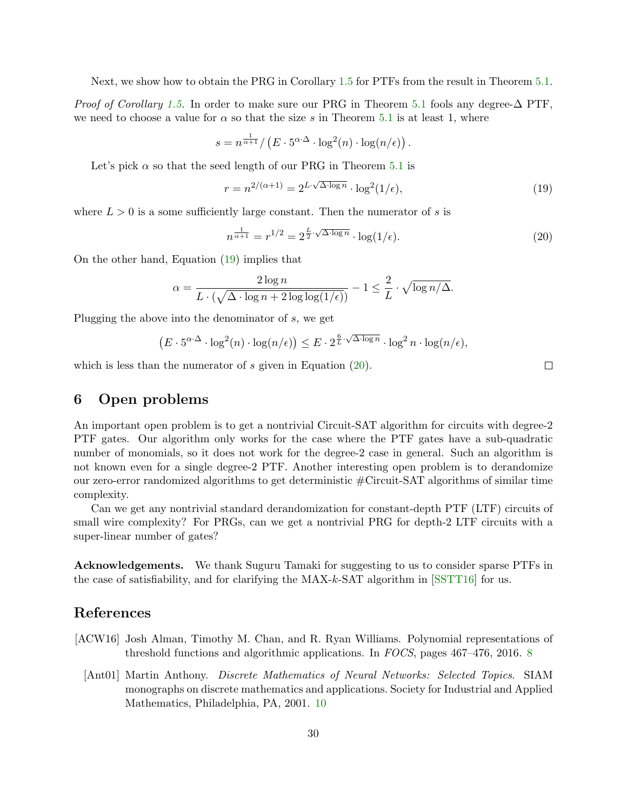Next, we show how to obtain the PRG in Corollary [1.5](#page-5-1) for PTFs from the result in Theorem [5.1.](#page-28-4)

*Proof of Corollary [1.5.](#page-5-1)* In order to make sure our PRG in Theorem [5.1](#page-28-4) fools any degree- $\Delta$  PTF, we need to choose a value for  $\alpha$  so that the size s in Theorem [5.1](#page-28-4) is at least 1, where

$$
s = n^{\frac{1}{\alpha+1}} / \left( E \cdot 5^{\alpha \cdot \Delta} \cdot \log^2(n) \cdot \log(n/\epsilon) \right).
$$

Let's pick  $\alpha$  so that the seed length of our PRG in Theorem [5.1](#page-28-4) is

<span id="page-30-3"></span>
$$
r = n^{2/(\alpha+1)} = 2^{L \cdot \sqrt{\Delta \cdot \log n}} \cdot \log^2(1/\epsilon),\tag{19}
$$

where  $L > 0$  is a some sufficiently large constant. Then the numerator of s is

$$
n^{\frac{1}{\alpha+1}} = r^{1/2} = 2^{\frac{L}{2}\cdot\sqrt{\Delta\cdot\log n}} \cdot \log(1/\epsilon). \tag{20}
$$

On the other hand, Equation [\(19\)](#page-30-3) implies that

$$
\alpha = \frac{2\log n}{L \cdot (\sqrt{\Delta \cdot \log n + 2\log \log(1/\epsilon)})} - 1 \le \frac{2}{L} \cdot \sqrt{\log n/\Delta}.
$$

Plugging the above into the denominator of s, we get

$$
\left(E \cdot 5^{\alpha \cdot \Delta} \cdot \log^2(n) \cdot \log(n/\epsilon)\right) \le E \cdot 2^{\frac{6}{L} \cdot \sqrt{\Delta \cdot \log n}} \cdot \log^2 n \cdot \log(n/\epsilon),
$$

which is less than the numerator of  $s$  given in Equation  $(20)$ .

## <span id="page-30-0"></span>6 Open problems

An important open problem is to get a nontrivial Circuit-SAT algorithm for circuits with degree-2 PTF gates. Our algorithm only works for the case where the PTF gates have a sub-quadratic number of monomials, so it does not work for the degree-2 case in general. Such an algorithm is not known even for a single degree-2 PTF. Another interesting open problem is to derandomize our zero-error randomized algorithms to get deterministic #Circuit-SAT algorithms of similar time complexity.

Can we get any nontrivial standard derandomization for constant-depth PTF (LTF) circuits of small wire complexity? For PRGs, can we get a nontrivial PRG for depth-2 LTF circuits with a super-linear number of gates?

Acknowledgements. We thank Suguru Tamaki for suggesting to us to consider sparse PTFs in the case of satisfiability, and for clarifying the MAX-k-SAT algorithm in [\[SSTT16\]](#page--1-4) for us.

## References

- <span id="page-30-2"></span><span id="page-30-1"></span>[ACW16] Josh Alman, Timothy M. Chan, and R. Ryan Williams. Polynomial representations of threshold functions and algorithmic applications. In FOCS, pages 467–476, 2016. [8](#page-8-2)
	- [Ant01] Martin Anthony. Discrete Mathematics of Neural Networks: Selected Topics. SIAM monographs on discrete mathematics and applications. Society for Industrial and Applied Mathematics, Philadelphia, PA, 2001. [10](#page-10-3)

<span id="page-30-4"></span> $\Box$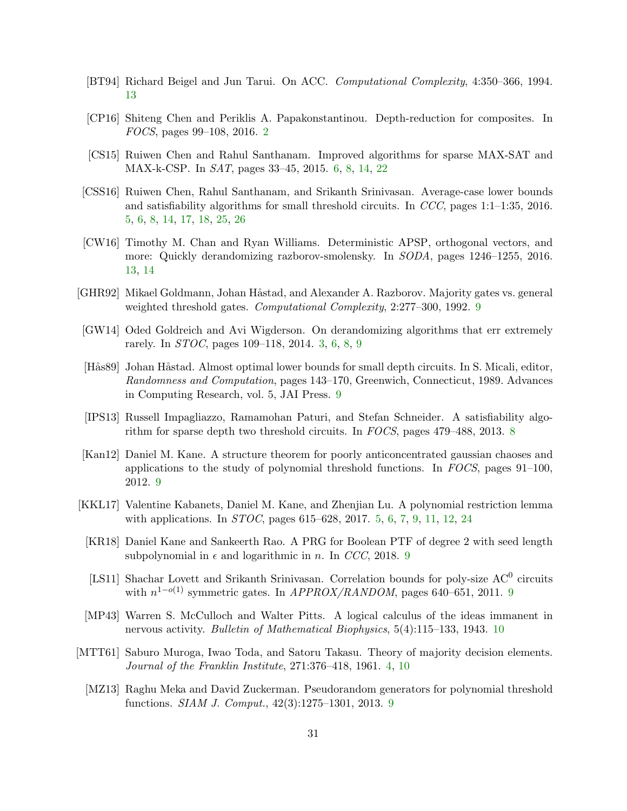- <span id="page-31-15"></span>[BT94] Richard Beigel and Jun Tarui. On ACC. Computational Complexity, 4:350–366, 1994. [13](#page-13-5)
- <span id="page-31-0"></span>[CP16] Shiteng Chen and Periklis A. Papakonstantinou. Depth-reduction for composites. In FOCS, pages 99–108, 2016. [2](#page-2-3)
- <span id="page-31-5"></span>[CS15] Ruiwen Chen and Rahul Santhanam. Improved algorithms for sparse MAX-SAT and MAX-k-CSP. In SAT, pages 33–45, 2015. [6,](#page-6-0) [8,](#page-8-2) [14,](#page-14-6) [22](#page-22-3)
- <span id="page-31-3"></span>[CSS16] Ruiwen Chen, Rahul Santhanam, and Srikanth Srinivasan. Average-case lower bounds and satisfiability algorithms for small threshold circuits. In CCC, pages 1:1–1:35, 2016. [5,](#page-5-4) [6,](#page-6-0) [8,](#page-8-2) [14,](#page-14-6) [17,](#page-17-3) [18,](#page-18-5) [25,](#page-25-3) [26](#page-26-0)
- <span id="page-31-14"></span>[CW16] Timothy M. Chan and Ryan Williams. Deterministic APSP, orthogonal vectors, and more: Quickly derandomizing razborov-smolensky. In SODA, pages 1246–1255, 2016. [13,](#page-13-5) [14](#page-14-6)
- <span id="page-31-12"></span>[GHR92] Mikael Goldmann, Johan Håstad, and Alexander A. Razborov. Majority gates vs. general weighted threshold gates. *Computational Complexity*, 2:277–300, 1[9](#page-9-0)92. 9
- <span id="page-31-1"></span>[GW14] Oded Goldreich and Avi Wigderson. On derandomizing algorithms that err extremely rarely. In STOC, pages 109–118, 2014. [3,](#page-3-1) [6,](#page-6-0) [8,](#page-8-2) [9](#page-9-0)
- <span id="page-31-7"></span>[Hås89] Johan Håstad. Almost optimal lower bounds for small depth circuits. In S. Micali, editor, Randomness and Computation, pages 143–170, Greenwich, Connecticut, 1989. Advances in Computing Research, vol. 5, JAI Press. [9](#page-9-0)
- <span id="page-31-6"></span>[IPS13] Russell Impagliazzo, Ramamohan Paturi, and Stefan Schneider. A satisfiability algorithm for sparse depth two threshold circuits. In FOCS, pages 479–488, 2013. [8](#page-8-2)
- <span id="page-31-9"></span>[Kan12] Daniel M. Kane. A structure theorem for poorly anticoncentrated gaussian chaoses and applications to the study of polynomial threshold functions. In FOCS, pages 91–100, 2012. [9](#page-9-0)
- <span id="page-31-4"></span>[KKL17] Valentine Kabanets, Daniel M. Kane, and Zhenjian Lu. A polynomial restriction lemma with applications. In *STOC*, pages 615–628, 2017. [5,](#page-5-4) [6,](#page-6-0) [7,](#page-7-0) [9,](#page-9-0) [11,](#page-11-4) [12,](#page-12-2) [24](#page-24-1)
- <span id="page-31-11"></span>[KR18] Daniel Kane and Sankeerth Rao. A PRG for Boolean PTF of degree 2 with seed length subpolynomial in  $\epsilon$  and logarithmic in n. In CCC, 2018. [9](#page-9-0)
- <span id="page-31-10"></span>[LS11] Shachar Lovett and Srikanth Srinivasan. Correlation bounds for poly-size AC<sup>0</sup> circuits with  $n^{1-o(1)}$  symmetric gates. In *APPROX/RANDOM*, pages 640–651, 2011. [9](#page-9-0)
- <span id="page-31-13"></span>[MP43] Warren S. McCulloch and Walter Pitts. A logical calculus of the ideas immanent in nervous activity. Bulletin of Mathematical Biophysics, 5(4):115–133, 1943. [10](#page-10-3)
- <span id="page-31-8"></span><span id="page-31-2"></span>[MTT61] Saburo Muroga, Iwao Toda, and Satoru Takasu. Theory of majority decision elements. Journal of the Franklin Institute, 271:376–418, 1961. [4,](#page-4-3) [10](#page-10-3)
	- [MZ13] Raghu Meka and David Zuckerman. Pseudorandom generators for polynomial threshold functions. SIAM J. Comput., 42(3):1275–1301, 2013. [9](#page-9-0)